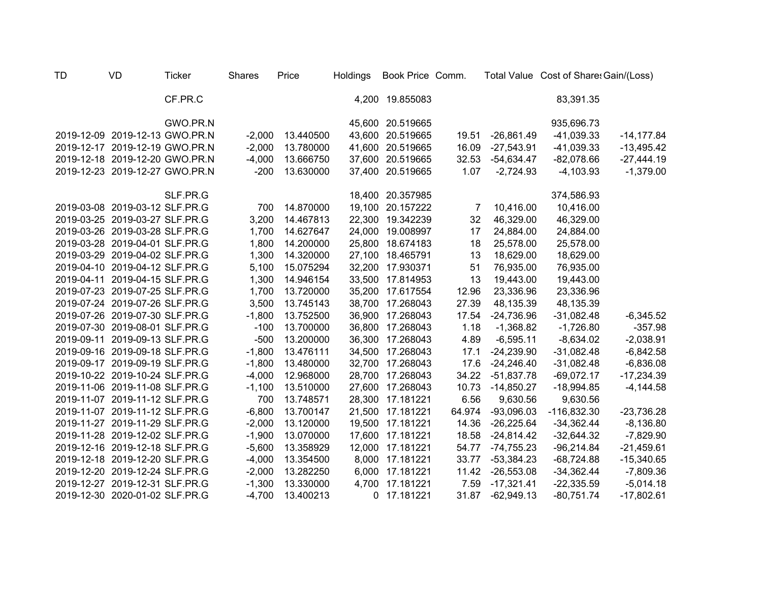| <b>TD</b> | <b>VD</b>                      | <b>Ticker</b> | <b>Shares</b> | Price     | Holdings    | Book Price Comm. |        |              | Total Value Cost of Share: Gain/(Loss) |               |
|-----------|--------------------------------|---------------|---------------|-----------|-------------|------------------|--------|--------------|----------------------------------------|---------------|
|           |                                | CF.PR.C       |               |           |             | 4,200 19.855083  |        |              | 83,391.35                              |               |
|           |                                | GWO.PR.N      |               |           |             | 45,600 20.519665 |        |              | 935,696.73                             |               |
|           | 2019-12-09 2019-12-13 GWO.PR.N |               | $-2,000$      | 13.440500 | 43,600      | 20.519665        | 19.51  | $-26,861.49$ | $-41,039.33$                           | $-14, 177.84$ |
|           | 2019-12-17 2019-12-19 GWO.PR.N |               | $-2,000$      | 13.780000 |             | 41,600 20.519665 | 16.09  | $-27,543.91$ | $-41,039.33$                           | $-13,495.42$  |
|           | 2019-12-18 2019-12-20 GWO.PR.N |               | $-4,000$      | 13.666750 |             | 37,600 20.519665 | 32.53  | $-54,634.47$ | $-82,078.66$                           | $-27,444.19$  |
|           | 2019-12-23 2019-12-27 GWO.PR.N |               | $-200$        | 13.630000 |             | 37,400 20.519665 | 1.07   | $-2,724.93$  | $-4,103.93$                            | $-1,379.00$   |
|           |                                | SLF.PR.G      |               |           |             | 18,400 20.357985 |        |              | 374,586.93                             |               |
|           | 2019-03-08 2019-03-12 SLF.PR.G |               | 700           | 14.870000 |             | 19,100 20.157222 | 7      | 10,416.00    | 10,416.00                              |               |
|           | 2019-03-25 2019-03-27 SLF.PR.G |               | 3,200         | 14.467813 | 22,300      | 19.342239        | 32     | 46,329.00    | 46,329.00                              |               |
|           | 2019-03-26 2019-03-28 SLF.PR.G |               | 1,700         | 14.627647 | 24,000      | 19.008997        | 17     | 24,884.00    | 24,884.00                              |               |
|           | 2019-03-28 2019-04-01 SLF.PR.G |               | 1,800         | 14.200000 | 25,800      | 18.674183        | 18     | 25,578.00    | 25,578.00                              |               |
|           | 2019-03-29 2019-04-02 SLF.PR.G |               | 1,300         | 14.320000 | 27,100      | 18.465791        | 13     | 18,629.00    | 18,629.00                              |               |
|           | 2019-04-10 2019-04-12 SLF.PR.G |               | 5,100         | 15.075294 | 32,200      | 17.930371        | 51     | 76,935.00    | 76,935.00                              |               |
|           | 2019-04-11 2019-04-15 SLF.PR.G |               | 1,300         | 14.946154 | 33,500      | 17.814953        | 13     | 19,443.00    | 19,443.00                              |               |
|           | 2019-07-23 2019-07-25 SLF.PR.G |               | 1,700         | 13.720000 | 35,200      | 17.617554        | 12.96  | 23,336.96    | 23,336.96                              |               |
|           | 2019-07-24 2019-07-26 SLF.PR.G |               | 3,500         | 13.745143 | 38,700      | 17.268043        | 27.39  | 48,135.39    | 48,135.39                              |               |
|           | 2019-07-26 2019-07-30 SLF.PR.G |               | $-1,800$      | 13.752500 | 36,900      | 17.268043        | 17.54  | -24,736.96   | $-31,082.48$                           | $-6,345.52$   |
|           | 2019-07-30 2019-08-01 SLF.PR.G |               | $-100$        | 13.700000 | 36,800      | 17.268043        | 1.18   | $-1,368.82$  | $-1,726.80$                            | $-357.98$     |
|           | 2019-09-11 2019-09-13 SLF.PR.G |               | $-500$        | 13.200000 | 36,300      | 17.268043        | 4.89   | $-6,595.11$  | $-8,634.02$                            | $-2,038.91$   |
|           | 2019-09-16 2019-09-18 SLF.PR.G |               | $-1,800$      | 13.476111 | 34,500      | 17.268043        | 17.1   | $-24,239.90$ | $-31,082.48$                           | $-6,842.58$   |
|           | 2019-09-17 2019-09-19 SLF.PR.G |               | $-1,800$      | 13.480000 | 32,700      | 17.268043        | 17.6   | $-24,246.40$ | $-31,082.48$                           | $-6,836.08$   |
|           | 2019-10-22 2019-10-24 SLF.PR.G |               | $-4,000$      | 12.968000 | 28,700      | 17.268043        | 34.22  | $-51,837.78$ | $-69,072.17$                           | $-17,234.39$  |
|           | 2019-11-06 2019-11-08 SLF.PR.G |               | $-1,100$      | 13.510000 | 27,600      | 17.268043        | 10.73  | $-14,850.27$ | $-18,994.85$                           | $-4,144.58$   |
|           | 2019-11-07 2019-11-12 SLF.PR.G |               | 700           | 13.748571 | 28,300      | 17.181221        | 6.56   | 9,630.56     | 9,630.56                               |               |
|           | 2019-11-07 2019-11-12 SLF.PR.G |               | $-6,800$      | 13.700147 |             | 21,500 17.181221 | 64.974 | $-93,096.03$ | $-116,832.30$                          | $-23,736.28$  |
|           | 2019-11-27 2019-11-29 SLF.PR.G |               | $-2,000$      | 13.120000 |             | 19,500 17.181221 | 14.36  | $-26,225.64$ | $-34,362.44$                           | $-8,136.80$   |
|           | 2019-11-28 2019-12-02 SLF.PR.G |               | $-1,900$      | 13.070000 |             | 17,600 17.181221 | 18.58  | $-24,814.42$ | $-32,644.32$                           | $-7,829.90$   |
|           | 2019-12-16 2019-12-18 SLF.PR.G |               | $-5,600$      | 13.358929 |             | 12,000 17.181221 | 54.77  | $-74,755.23$ | $-96,214.84$                           | $-21,459.61$  |
|           | 2019-12-18 2019-12-20 SLF.PR.G |               | $-4,000$      | 13.354500 |             | 8,000 17.181221  | 33.77  | $-53,384.23$ | $-68,724.88$                           | $-15,340.65$  |
|           | 2019-12-20 2019-12-24 SLF.PR.G |               | $-2,000$      | 13.282250 | 6,000       | 17.181221        | 11.42  | $-26,553.08$ | $-34,362.44$                           | $-7,809.36$   |
|           | 2019-12-27 2019-12-31 SLF.PR.G |               | $-1,300$      | 13.330000 |             | 4,700 17.181221  | 7.59   | $-17,321.41$ | $-22,335.59$                           | $-5,014.18$   |
|           | 2019-12-30 2020-01-02 SLF.PR.G |               | $-4,700$      | 13.400213 | $\mathbf 0$ | 17.181221        | 31.87  | $-62,949.13$ | $-80,751.74$                           | $-17,802.61$  |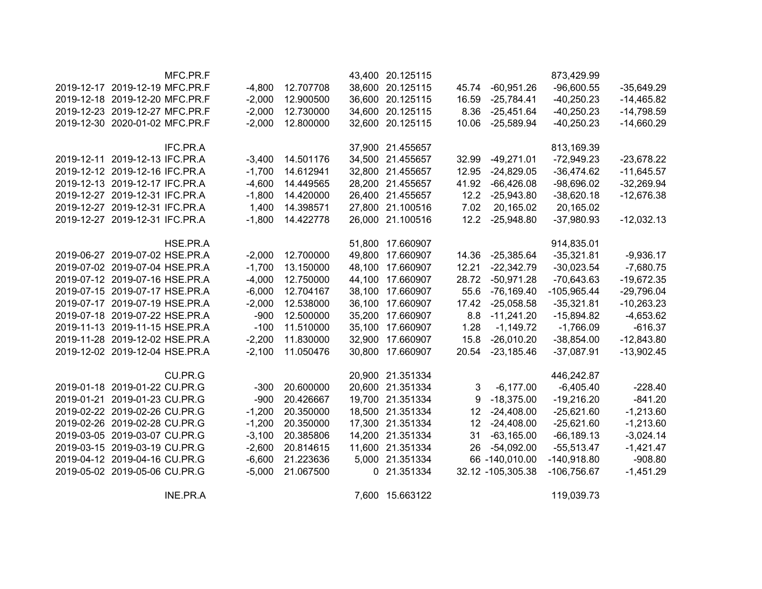|                               |                                | MFC.PR.F |          |           | 43,400 20.125115 |       |                   | 873,429.99    |              |
|-------------------------------|--------------------------------|----------|----------|-----------|------------------|-------|-------------------|---------------|--------------|
|                               | 2019-12-17 2019-12-19 MFC.PR.F |          | $-4,800$ | 12.707708 | 38,600 20.125115 | 45.74 | $-60,951.26$      | $-96,600.55$  | $-35,649.29$ |
|                               | 2019-12-18 2019-12-20 MFC.PR.F |          | $-2,000$ | 12.900500 | 36,600 20.125115 | 16.59 | $-25,784.41$      | $-40,250.23$  | $-14,465.82$ |
|                               | 2019-12-23 2019-12-27 MFC.PR.F |          | $-2,000$ | 12.730000 | 34,600 20.125115 |       | 8.36 -25,451.64   | $-40,250.23$  | $-14,798.59$ |
|                               | 2019-12-30 2020-01-02 MFC.PR.F |          | $-2,000$ | 12.800000 | 32,600 20.125115 | 10.06 | $-25,589.94$      | $-40,250.23$  | $-14,660.29$ |
|                               |                                |          |          |           |                  |       |                   |               |              |
|                               |                                | IFC.PR.A |          |           | 37,900 21.455657 |       |                   | 813,169.39    |              |
|                               | 2019-12-11 2019-12-13 IFC.PR.A |          | $-3,400$ | 14.501176 | 34,500 21.455657 | 32.99 | $-49,271.01$      | $-72,949.23$  | $-23,678.22$ |
|                               | 2019-12-12 2019-12-16 IFC.PR.A |          | $-1,700$ | 14.612941 | 32,800 21.455657 | 12.95 | $-24,829.05$      | $-36,474.62$  | $-11,645.57$ |
|                               | 2019-12-13 2019-12-17 IFC.PR.A |          | $-4,600$ | 14.449565 | 28,200 21.455657 | 41.92 | $-66,426.08$      | $-98,696.02$  | $-32,269.94$ |
|                               | 2019-12-27 2019-12-31 IFC.PR.A |          | $-1,800$ | 14.420000 | 26,400 21.455657 | 12.2  | $-25,943.80$      | $-38,620.18$  | $-12,676.38$ |
|                               | 2019-12-27 2019-12-31 IFC.PR.A |          | 1,400    | 14.398571 | 27,800 21.100516 | 7.02  | 20,165.02         | 20,165.02     |              |
|                               | 2019-12-27 2019-12-31 IFC.PR.A |          | $-1,800$ | 14.422778 | 26,000 21.100516 | 12.2  | $-25,948.80$      | $-37,980.93$  | $-12,032.13$ |
|                               |                                |          |          |           |                  |       |                   |               |              |
|                               |                                | HSE.PR.A |          |           | 51,800 17.660907 |       |                   | 914,835.01    |              |
|                               | 2019-06-27 2019-07-02 HSE.PR.A |          | $-2,000$ | 12.700000 | 49,800 17.660907 | 14.36 | $-25,385.64$      | $-35,321.81$  | $-9,936.17$  |
|                               | 2019-07-02 2019-07-04 HSE.PR.A |          | $-1,700$ | 13.150000 | 48,100 17.660907 | 12.21 | $-22,342.79$      | $-30,023.54$  | $-7,680.75$  |
|                               | 2019-07-12 2019-07-16 HSE.PR.A |          | $-4,000$ | 12.750000 | 44,100 17.660907 | 28.72 | $-50,971.28$      | $-70,643.63$  | $-19,672.35$ |
|                               | 2019-07-15 2019-07-17 HSE.PR.A |          | $-6,000$ | 12.704167 | 38,100 17.660907 | 55.6  | $-76,169.40$      | $-105,965.44$ | $-29,796.04$ |
|                               | 2019-07-17 2019-07-19 HSE.PR.A |          | $-2,000$ | 12.538000 | 36,100 17.660907 | 17.42 | $-25,058.58$      | $-35,321.81$  | $-10,263.23$ |
|                               | 2019-07-18 2019-07-22 HSE.PR.A |          | $-900$   | 12.500000 | 35,200 17.660907 | 8.8   | $-11,241.20$      | $-15,894.82$  | $-4,653.62$  |
|                               | 2019-11-13 2019-11-15 HSE.PR.A |          | $-100$   | 11.510000 | 35,100 17.660907 | 1.28  | $-1,149.72$       | $-1,766.09$   | $-616.37$    |
|                               | 2019-11-28 2019-12-02 HSE.PR.A |          | $-2,200$ | 11.830000 | 32,900 17.660907 | 15.8  | $-26,010.20$      | $-38,854.00$  | $-12,843.80$ |
|                               | 2019-12-02 2019-12-04 HSE.PR.A |          | $-2,100$ | 11.050476 | 30,800 17.660907 | 20.54 | $-23,185.46$      | $-37,087.91$  | $-13,902.45$ |
|                               |                                | CU.PR.G  |          |           | 20,900 21.351334 |       |                   | 446,242.87    |              |
|                               | 2019-01-18 2019-01-22 CU.PR.G  |          | $-300$   | 20.600000 | 20,600 21.351334 | 3     | $-6,177.00$       | $-6,405.40$   | $-228.40$    |
|                               | 2019-01-21 2019-01-23 CU.PR.G  |          | $-900$   | 20.426667 | 19,700 21.351334 | 9     | $-18,375.00$      | $-19,216.20$  | $-841.20$    |
|                               | 2019-02-22 2019-02-26 CU.PR.G  |          | $-1,200$ | 20.350000 | 18,500 21.351334 | 12    | $-24,408.00$      | $-25,621.60$  | $-1,213.60$  |
|                               | 2019-02-26 2019-02-28 CU.PR.G  |          | $-1,200$ | 20.350000 | 17,300 21.351334 | 12    | $-24,408.00$      | $-25,621.60$  | $-1,213.60$  |
|                               | 2019-03-05 2019-03-07 CU.PR.G  |          | $-3,100$ | 20.385806 | 14,200 21.351334 | 31    | $-63,165.00$      | $-66, 189.13$ | $-3,024.14$  |
|                               | 2019-03-15 2019-03-19 CU.PR.G  |          | $-2,600$ | 20.814615 | 11,600 21.351334 | 26    | $-54,092.00$      | $-55,513.47$  | $-1,421.47$  |
|                               | 2019-04-12 2019-04-16 CU.PR.G  |          | $-6,600$ | 21.223636 | 5,000 21.351334  |       | 66 -140,010.00    | $-140,918.80$ | $-908.80$    |
| 2019-05-02 2019-05-06 CU.PR.G |                                |          | $-5,000$ | 21.067500 | 0 21.351334      |       | 32.12 -105,305.38 | $-106,756.67$ | $-1,451.29$  |
|                               |                                |          |          |           |                  |       |                   |               |              |
|                               |                                | INE.PR.A |          |           | 7,600 15.663122  |       |                   | 119,039.73    |              |
|                               |                                |          |          |           |                  |       |                   |               |              |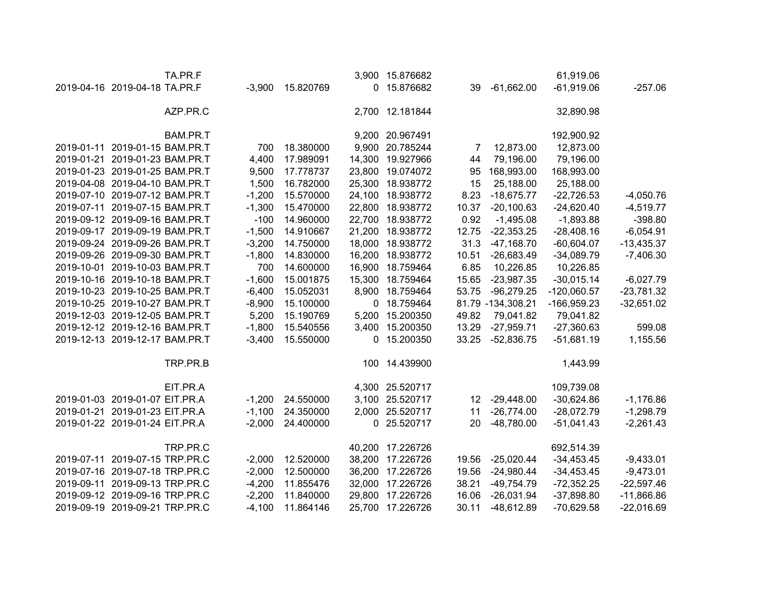| TA.PR.F                        |          |           |        | 3,900 15.876682  |       |                   | 61,919.06     |              |
|--------------------------------|----------|-----------|--------|------------------|-------|-------------------|---------------|--------------|
| 2019-04-16 2019-04-18 TA.PR.F  | $-3,900$ | 15.820769 |        | 0 15.876682      | 39    | $-61,662.00$      | $-61,919.06$  | $-257.06$    |
| AZP.PR.C                       |          |           |        | 2,700 12.181844  |       |                   | 32,890.98     |              |
| BAM.PR.T                       |          |           |        | 9,200 20.967491  |       |                   | 192,900.92    |              |
| 2019-01-11 2019-01-15 BAM.PR.T | 700      | 18.380000 |        | 9,900 20.785244  | 7     | 12,873.00         | 12,873.00     |              |
| 2019-01-21 2019-01-23 BAM.PR.T | 4,400    | 17.989091 | 14,300 | 19.927966        | 44    | 79,196.00         | 79,196.00     |              |
| 2019-01-23 2019-01-25 BAM.PR.T | 9,500    | 17.778737 | 23,800 | 19.074072        | 95    | 168,993.00        | 168,993.00    |              |
| 2019-04-08 2019-04-10 BAM.PR.T | 1,500    | 16.782000 | 25,300 | 18.938772        | 15    | 25,188.00         | 25,188.00     |              |
| 2019-07-10 2019-07-12 BAM.PR.T | $-1,200$ | 15.570000 |        | 24,100 18.938772 | 8.23  | $-18,675.77$      | $-22,726.53$  | $-4,050.76$  |
| 2019-07-11 2019-07-15 BAM.PR.T | $-1,300$ | 15.470000 |        | 22,800 18.938772 | 10.37 | $-20,100.63$      | $-24,620.40$  | $-4,519.77$  |
| 2019-09-12 2019-09-16 BAM.PR.T | $-100$   | 14.960000 |        | 22,700 18.938772 | 0.92  | $-1,495.08$       | $-1,893.88$   | $-398.80$    |
| 2019-09-17 2019-09-19 BAM.PR.T | $-1,500$ | 14.910667 |        | 21,200 18.938772 | 12.75 | $-22,353.25$      | $-28,408.16$  | $-6,054.91$  |
| 2019-09-24 2019-09-26 BAM.PR.T | $-3,200$ | 14.750000 |        | 18,000 18.938772 | 31.3  | $-47,168.70$      | $-60,604.07$  | $-13,435.37$ |
| 2019-09-26 2019-09-30 BAM.PR.T | $-1,800$ | 14.830000 |        | 16,200 18.938772 | 10.51 | $-26,683.49$      | $-34,089.79$  | $-7,406.30$  |
| 2019-10-01 2019-10-03 BAM.PR.T | 700      | 14.600000 |        | 16,900 18.759464 | 6.85  | 10,226.85         | 10,226.85     |              |
| 2019-10-16 2019-10-18 BAM.PR.T | $-1,600$ | 15.001875 |        | 15,300 18.759464 | 15.65 | $-23,987.35$      | $-30,015.14$  | $-6,027.79$  |
| 2019-10-23 2019-10-25 BAM.PR.T | $-6,400$ | 15.052031 |        | 8,900 18.759464  | 53.75 | $-96,279.25$      | $-120,060.57$ | $-23,781.32$ |
| 2019-10-25 2019-10-27 BAM.PR.T | $-8,900$ | 15.100000 |        | 0 18.759464      |       | 81.79 -134,308.21 | -166,959.23   | $-32,651.02$ |
| 2019-12-03 2019-12-05 BAM.PR.T | 5,200    | 15.190769 |        | 5,200 15.200350  | 49.82 | 79,041.82         | 79,041.82     |              |
| 2019-12-12 2019-12-16 BAM.PR.T | $-1,800$ | 15.540556 |        | 3,400 15.200350  | 13.29 | $-27,959.71$      | $-27,360.63$  | 599.08       |
| 2019-12-13 2019-12-17 BAM.PR.T | $-3,400$ | 15.550000 |        | 0 15.200350      | 33.25 | $-52,836.75$      | $-51,681.19$  | 1,155.56     |
| TRP.PR.B                       |          |           |        | 100 14.439900    |       |                   | 1,443.99      |              |
| EIT.PR.A                       |          |           |        | 4,300 25.520717  |       |                   | 109,739.08    |              |
| 2019-01-03 2019-01-07 EIT.PR.A | $-1,200$ | 24.550000 |        | 3,100 25.520717  | 12    | $-29,448.00$      | $-30,624.86$  | $-1,176.86$  |
| 2019-01-21 2019-01-23 EIT.PR.A | $-1,100$ | 24.350000 |        | 2,000 25.520717  | 11    | $-26,774.00$      | $-28,072.79$  | $-1,298.79$  |
| 2019-01-22 2019-01-24 EIT.PR.A | $-2,000$ | 24.400000 | 0      | 25.520717        | 20    | $-48,780.00$      | $-51,041.43$  | $-2,261.43$  |
| TRP.PR.C                       |          |           |        | 40,200 17.226726 |       |                   | 692,514.39    |              |
| 2019-07-11 2019-07-15 TRP.PR.C | $-2,000$ | 12.520000 |        | 38,200 17.226726 | 19.56 | $-25,020.44$      | $-34,453.45$  | $-9,433.01$  |
| 2019-07-16 2019-07-18 TRP.PR.C | $-2,000$ | 12.500000 |        | 36,200 17.226726 | 19.56 | $-24,980.44$      | $-34,453.45$  | $-9,473.01$  |
| 2019-09-11 2019-09-13 TRP.PR.C | $-4,200$ | 11.855476 |        | 32,000 17.226726 | 38.21 | $-49,754.79$      | $-72,352.25$  | $-22,597.46$ |
| 2019-09-12 2019-09-16 TRP.PR.C | $-2,200$ | 11.840000 |        | 29,800 17.226726 | 16.06 | $-26,031.94$      | $-37,898.80$  | $-11,866.86$ |
| 2019-09-19 2019-09-21 TRP.PR.C | $-4,100$ | 11.864146 |        | 25,700 17.226726 | 30.11 | $-48,612.89$      | $-70,629.58$  | $-22,016.69$ |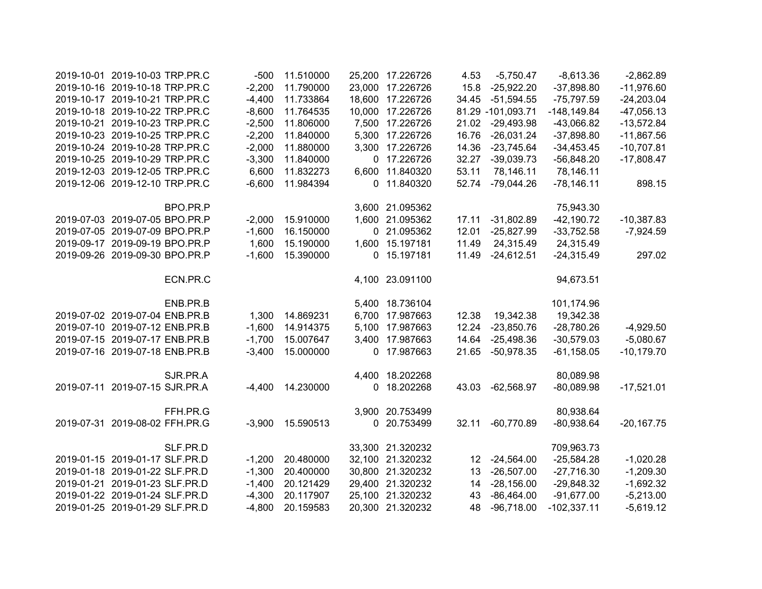| 2019-10-01 2019-10-03 TRP.PR.C | $-500$   | 11.510000 |        | 25,200 17.226726 | 4.53  | $-5,750.47$       | $-8,613.36$    | $-2,862.89$  |
|--------------------------------|----------|-----------|--------|------------------|-------|-------------------|----------------|--------------|
| 2019-10-16 2019-10-18 TRP.PR.C | $-2,200$ | 11.790000 |        | 23,000 17.226726 | 15.8  | $-25,922.20$      | $-37,898.80$   | $-11,976.60$ |
| 2019-10-17 2019-10-21 TRP.PR.C | $-4,400$ | 11.733864 | 18,600 | 17.226726        | 34.45 | $-51,594.55$      | $-75,797.59$   | $-24,203.04$ |
| 2019-10-18 2019-10-22 TRP.PR.C | $-8,600$ | 11.764535 |        | 10,000 17.226726 |       | 81.29 -101,093.71 | $-148, 149.84$ | $-47,056.13$ |
| 2019-10-21 2019-10-23 TRP.PR.C | $-2,500$ | 11.806000 |        | 7,500 17.226726  |       | 21.02 -29,493.98  | $-43,066.82$   | $-13,572.84$ |
| 2019-10-23 2019-10-25 TRP.PR.C | $-2,200$ | 11.840000 |        | 5,300 17.226726  | 16.76 | $-26,031.24$      | $-37,898.80$   | $-11,867.56$ |
| 2019-10-24 2019-10-28 TRP.PR.C | $-2,000$ | 11.880000 |        | 3,300 17.226726  | 14.36 | $-23,745.64$      | $-34,453.45$   | $-10,707.81$ |
| 2019-10-25 2019-10-29 TRP.PR.C | $-3,300$ | 11.840000 |        | 0 17.226726      | 32.27 | $-39,039.73$      | $-56,848.20$   | $-17,808.47$ |
| 2019-12-03 2019-12-05 TRP.PR.C | 6,600    | 11.832273 |        | 6,600 11.840320  | 53.11 | 78,146.11         | 78,146.11      |              |
| 2019-12-06 2019-12-10 TRP.PR.C | $-6,600$ | 11.984394 |        | 0 11.840320      | 52.74 | $-79,044.26$      | $-78,146.11$   | 898.15       |
| BPO.PR.P                       |          |           |        | 3,600 21.095362  |       |                   | 75,943.30      |              |
| 2019-07-03 2019-07-05 BPO.PR.P | $-2,000$ | 15.910000 |        | 1,600 21.095362  | 17.11 | $-31,802.89$      | $-42,190.72$   | $-10,387.83$ |
| 2019-07-05 2019-07-09 BPO.PR.P | $-1,600$ | 16.150000 |        | 0 21.095362      | 12.01 | $-25,827.99$      | $-33,752.58$   | $-7,924.59$  |
| 2019-09-17 2019-09-19 BPO.PR.P | 1,600    | 15.190000 |        | 1,600 15.197181  | 11.49 | 24,315.49         | 24,315.49      |              |
| 2019-09-26 2019-09-30 BPO.PR.P | $-1,600$ | 15.390000 |        | 0 15.197181      | 11.49 | $-24,612.51$      | $-24,315.49$   | 297.02       |
| ECN.PR.C                       |          |           |        | 4,100 23.091100  |       |                   | 94,673.51      |              |
| ENB.PR.B                       |          |           |        | 5,400 18.736104  |       |                   | 101,174.96     |              |
| 2019-07-02 2019-07-04 ENB.PR.B | 1,300    | 14.869231 |        | 6,700 17.987663  | 12.38 | 19,342.38         | 19,342.38      |              |
| 2019-07-10 2019-07-12 ENB.PR.B | $-1,600$ | 14.914375 |        | 5,100 17.987663  | 12.24 | $-23,850.76$      | $-28,780.26$   | $-4,929.50$  |
| 2019-07-15 2019-07-17 ENB.PR.B | $-1,700$ | 15.007647 |        | 3,400 17.987663  | 14.64 | $-25,498.36$      | $-30,579.03$   | $-5,080.67$  |
| 2019-07-16 2019-07-18 ENB.PR.B | $-3,400$ | 15.000000 |        | 0 17.987663      | 21.65 | $-50,978.35$      | $-61,158.05$   | $-10,179.70$ |
| SJR.PR.A                       |          |           |        | 4,400 18.202268  |       |                   | 80,089.98      |              |
| 2019-07-11 2019-07-15 SJR.PR.A | $-4,400$ | 14.230000 | 0      | 18.202268        | 43.03 | -62,568.97        | $-80,089.98$   | $-17,521.01$ |
| FFH.PR.G                       |          |           |        | 3,900 20.753499  |       |                   | 80,938.64      |              |
| 2019-07-31 2019-08-02 FFH.PR.G | $-3,900$ | 15.590513 |        | 0 20.753499      | 32.11 | $-60,770.89$      | $-80,938.64$   | $-20,167.75$ |
| SLF.PR.D                       |          |           |        | 33,300 21.320232 |       |                   | 709,963.73     |              |
| 2019-01-15 2019-01-17 SLF.PR.D | $-1,200$ | 20.480000 |        | 32,100 21.320232 |       | 12 -24,564.00     | $-25,584.28$   | $-1,020.28$  |
| 2019-01-18 2019-01-22 SLF.PR.D | $-1,300$ | 20.400000 |        | 30,800 21.320232 | 13    | $-26,507.00$      | $-27,716.30$   | $-1,209.30$  |
| 2019-01-21 2019-01-23 SLF.PR.D | $-1,400$ | 20.121429 |        | 29,400 21.320232 | 14    | $-28,156.00$      | $-29,848.32$   | $-1,692.32$  |
| 2019-01-22 2019-01-24 SLF.PR.D | $-4,300$ | 20.117907 |        | 25,100 21.320232 | 43    | $-86,464.00$      | $-91,677.00$   | $-5,213.00$  |
| 2019-01-25 2019-01-29 SLF.PR.D | $-4,800$ | 20.159583 |        | 20,300 21.320232 | 48    | $-96,718.00$      | $-102,337.11$  | $-5,619.12$  |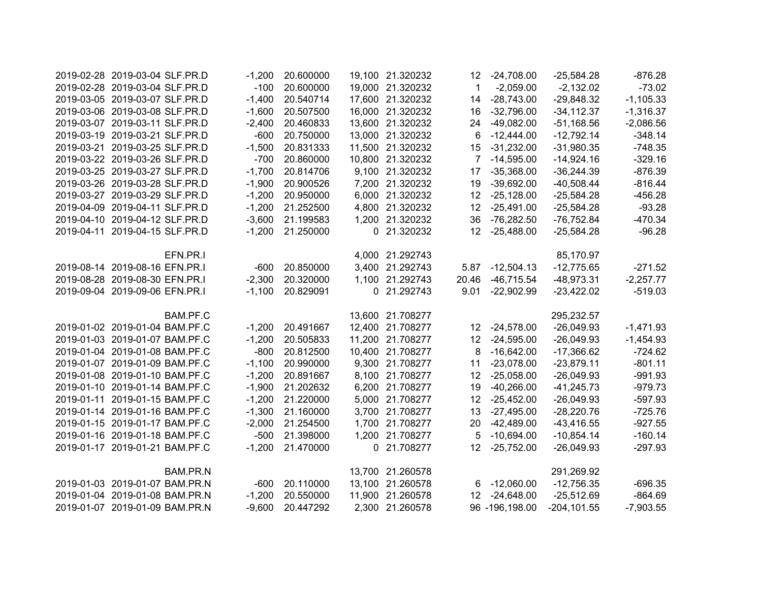| 2019-02-28 2019-03-04 SLF.PR.D | $-1,200$ | 20.600000 | 19,100 21.320232 | 12               | $-24,708.00$     | $-25,584.28$   | $-876.28$   |
|--------------------------------|----------|-----------|------------------|------------------|------------------|----------------|-------------|
| 2019-02-28 2019-03-04 SLF.PR.D | $-100$   | 20.600000 | 19,000 21.320232 | $\mathbf{1}$     | $-2,059.00$      | $-2,132.02$    | $-73.02$    |
| 2019-03-05 2019-03-07 SLF.PR.D | $-1,400$ | 20.540714 | 17,600 21.320232 | 14               | $-28,743.00$     | $-29,848.32$   | $-1,105.33$ |
| 2019-03-06 2019-03-08 SLF.PR.D | $-1,600$ | 20.507500 | 16,000 21.320232 | 16               | $-32,796.00$     | $-34, 112.37$  | $-1,316.37$ |
| 2019-03-07 2019-03-11 SLF.PR.D | $-2,400$ | 20.460833 | 13,600 21.320232 | 24               | $-49,082.00$     | $-51,168.56$   | $-2,086.56$ |
| 2019-03-19 2019-03-21 SLF.PR.D | $-600$   | 20.750000 | 13,000 21.320232 | 6                | $-12,444.00$     | $-12,792.14$   | $-348.14$   |
| 2019-03-21 2019-03-25 SLF.PR.D | $-1,500$ | 20.831333 | 11,500 21.320232 | 15               | $-31,232.00$     | $-31,980.35$   | $-748.35$   |
| 2019-03-22 2019-03-26 SLF.PR.D | $-700$   | 20.860000 | 10,800 21.320232 |                  | $-14,595.00$     | $-14,924.16$   | $-329.16$   |
| 2019-03-25 2019-03-27 SLF.PR.D | $-1,700$ | 20.814706 | 9,100 21.320232  | 17               | $-35,368.00$     | $-36,244.39$   | $-876.39$   |
| 2019-03-26 2019-03-28 SLF.PR.D | $-1,900$ | 20.900526 | 7,200 21.320232  | 19               | $-39,692.00$     | $-40,508.44$   | $-816.44$   |
| 2019-03-27 2019-03-29 SLF.PR.D | $-1,200$ | 20.950000 | 6,000 21.320232  | 12 <sup>2</sup>  | $-25,128.00$     | $-25,584.28$   | $-456.28$   |
| 2019-04-09 2019-04-11 SLF.PR.D | $-1,200$ | 21.252500 | 4,800 21.320232  | 12 <sup>12</sup> | $-25,491.00$     | $-25,584.28$   | $-93.28$    |
| 2019-04-10 2019-04-12 SLF.PR.D | $-3,600$ | 21.199583 | 1,200 21.320232  | 36               | -76,282.50       | $-76,752.84$   | $-470.34$   |
| 2019-04-11 2019-04-15 SLF.PR.D | $-1,200$ | 21.250000 | 0 21.320232      |                  | 12 -25,488.00    | $-25,584.28$   | $-96.28$    |
| EFN.PR.I                       |          |           | 4,000 21.292743  |                  |                  | 85,170.97      |             |
| 2019-08-14 2019-08-16 EFN.PR.I | $-600$   | 20.850000 | 3,400 21.292743  |                  | 5.87 - 12,504.13 | $-12,775.65$   | $-271.52$   |
| 2019-08-28 2019-08-30 EFN.PR.I | $-2,300$ | 20.320000 | 1,100 21.292743  | 20.46            | $-46,715.54$     | $-48,973.31$   | $-2,257.77$ |
| 2019-09-04 2019-09-06 EFN.PR.I | $-1,100$ | 20.829091 | 0 21.292743      | 9.01             | $-22,902.99$     | $-23,422.02$   | $-519.03$   |
| BAM.PF.C                       |          |           | 13,600 21.708277 |                  |                  | 295,232.57     |             |
| 2019-01-02 2019-01-04 BAM.PF.C | $-1,200$ | 20.491667 | 12,400 21.708277 |                  | 12 -24,578.00    | $-26,049.93$   | $-1,471.93$ |
| 2019-01-03 2019-01-07 BAM.PF.C | $-1,200$ | 20.505833 | 11,200 21.708277 | 12               | $-24,595.00$     | $-26,049.93$   | $-1,454.93$ |
| 2019-01-04 2019-01-08 BAM.PF.C | $-800$   | 20.812500 | 10,400 21.708277 | 8                | $-16,642.00$     | $-17,366.62$   | $-724.62$   |
| 2019-01-07 2019-01-09 BAM.PF.C | $-1,100$ | 20.990000 | 9,300 21.708277  | 11               | $-23,078.00$     | $-23,879.11$   | $-801.11$   |
| 2019-01-08 2019-01-10 BAM.PF.C | $-1,200$ | 20.891667 | 8,100 21.708277  | 12 <sup>°</sup>  | $-25,058.00$     | $-26,049.93$   | $-991.93$   |
| 2019-01-10 2019-01-14 BAM.PF.C | $-1,900$ | 21.202632 | 6,200 21.708277  | 19               | $-40,266.00$     | $-41,245.73$   | $-979.73$   |
| 2019-01-11 2019-01-15 BAM.PF.C | $-1,200$ | 21.220000 | 5,000 21.708277  | 12 <sup>°</sup>  | $-25,452.00$     | $-26,049.93$   | $-597.93$   |
| 2019-01-14 2019-01-16 BAM.PF.C | $-1,300$ | 21.160000 | 3,700 21.708277  | 13               | $-27,495.00$     | $-28,220.76$   | $-725.76$   |
| 2019-01-15 2019-01-17 BAM.PF.C | $-2,000$ | 21.254500 | 1,700 21.708277  |                  | 20 -42,489.00    | $-43,416.55$   | $-927.55$   |
| 2019-01-16 2019-01-18 BAM.PF.C | $-500$   | 21.398000 | 1,200 21.708277  | 5                | $-10,694.00$     | $-10,854.14$   | $-160.14$   |
| 2019-01-17 2019-01-21 BAM.PF.C | $-1,200$ | 21.470000 | 0 21.708277      | 12 <sup>°</sup>  | $-25,752.00$     | $-26,049.93$   | $-297.93$   |
| BAM.PR.N                       |          |           | 13,700 21.260578 |                  |                  | 291,269.92     |             |
| 2019-01-03 2019-01-07 BAM.PR.N | $-600$   | 20.110000 | 13,100 21.260578 |                  | 6 -12,060.00     | $-12,756.35$   | $-696.35$   |
| 2019-01-04 2019-01-08 BAM.PR.N | $-1,200$ | 20.550000 | 11,900 21.260578 | 12               | $-24,648.00$     | $-25,512.69$   | $-864.69$   |
| 2019-01-07 2019-01-09 BAM.PR.N | $-9,600$ | 20.447292 | 2,300 21.260578  |                  | 96 -196,198.00   | $-204, 101.55$ | $-7,903.55$ |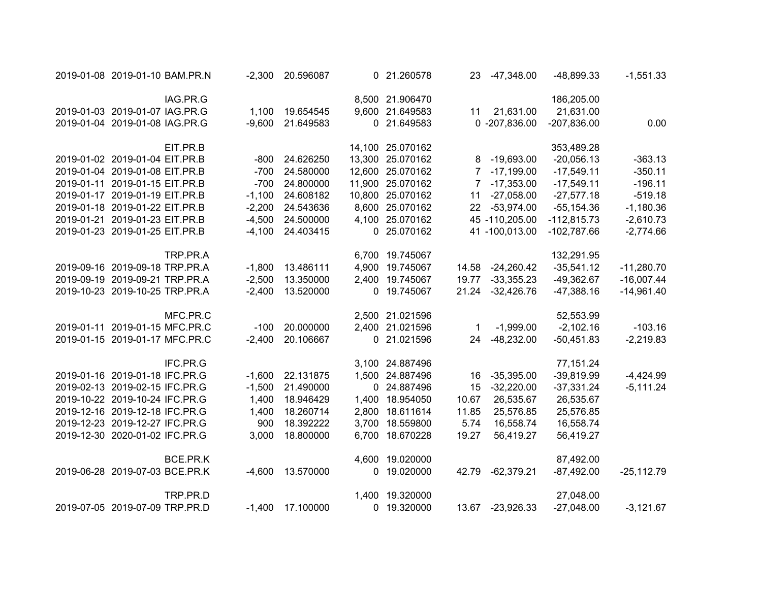| $-1,551.33$  | $-48,899.33$  | -47,348.00       | 23    | 0 21.260578      | -2,300 20.596087   |          | 2019-01-08 2019-01-10 BAM.PR.N |  |
|--------------|---------------|------------------|-------|------------------|--------------------|----------|--------------------------------|--|
|              | 186,205.00    |                  |       | 8,500 21.906470  |                    |          | IAG.PR.G                       |  |
|              | 21,631.00     | 21,631.00        | 11    | 9,600 21.649583  | 1,100 19.654545    |          | 2019-01-03 2019-01-07 IAG.PR.G |  |
| 0.00         | $-207,836.00$ | $0 - 207,836.00$ |       | 0 21.649583      | 21.649583          | $-9,600$ | 2019-01-04 2019-01-08 IAG.PR.G |  |
|              | 353,489.28    |                  |       | 14,100 25.070162 |                    |          | EIT.PR.B                       |  |
| $-363.13$    | $-20,056.13$  | 8 -19,693.00     |       | 13,300 25.070162 | -800 24.626250     |          | 2019-01-02 2019-01-04 EIT.PR.B |  |
| $-350.11$    | $-17,549.11$  | 7 -17,199.00     |       | 12,600 25.070162 | 24.580000          | -700     | 2019-01-04 2019-01-08 EIT.PR.B |  |
| $-196.11$    | $-17,549.11$  | 7 -17,353.00     |       | 11,900 25.070162 | 24.800000          | $-700$   | 2019-01-11 2019-01-15 EIT.PR.B |  |
| $-519.18$    | $-27,577.18$  | $-27,058.00$     | 11    | 10,800 25.070162 | $-1,100$ 24.608182 |          | 2019-01-17 2019-01-19 EIT.PR.B |  |
| $-1,180.36$  | $-55, 154.36$ | 22 -53,974.00    |       | 8,600 25.070162  | $-2,200$ 24.543636 |          | 2019-01-18 2019-01-22 EIT.PR.B |  |
| $-2,610.73$  | $-112,815.73$ | 45 -110,205.00   |       | 4,100 25.070162  | -4,500 24.500000   |          | 2019-01-21 2019-01-23 EIT.PR.B |  |
| $-2,774.66$  | $-102,787.66$ | 41 -100,013.00   |       | 0 25.070162      | -4,100 24.403415   |          | 2019-01-23 2019-01-25 EIT.PR.B |  |
|              | 132,291.95    |                  |       | 6,700 19.745067  |                    |          | TRP.PR.A                       |  |
| $-11,280.70$ | $-35,541.12$  | 14.58 -24,260.42 |       | 4,900 19.745067  | $-1,800$ 13.486111 |          | 2019-09-16 2019-09-18 TRP.PR.A |  |
| $-16,007.44$ | $-49,362.67$  | 19.77 -33,355.23 |       | 2,400 19.745067  | 13.350000          | $-2,500$ | 2019-09-19 2019-09-21 TRP.PR.A |  |
| $-14,961.40$ | $-47,388.16$  | 21.24 -32,426.76 |       | 0 19.745067      | 13.520000          | $-2,400$ | 2019-10-23 2019-10-25 TRP.PR.A |  |
|              | 52,553.99     |                  |       | 2,500 21.021596  |                    |          | MFC.PR.C                       |  |
| $-103.16$    | $-2,102.16$   | $-1,999.00$      | 1     | 2,400 21.021596  | 20.000000          | $-100$   | 2019-01-11 2019-01-15 MFC.PR.C |  |
| $-2,219.83$  | $-50,451.83$  | $-48,232.00$     | 24    | 0 21.021596      | 20.106667          | $-2,400$ | 2019-01-15 2019-01-17 MFC.PR.C |  |
|              | 77,151.24     |                  |       | 3,100 24.887496  |                    |          | IFC.PR.G                       |  |
| $-4,424.99$  | $-39,819.99$  | $-35,395.00$     | 16    | 1,500 24.887496  | $-1,600$ 22.131875 |          | 2019-01-16 2019-01-18 IFC.PR.G |  |
| $-5,111.24$  | $-37,331.24$  | $-32,220.00$     | 15    | 0 24.887496      | 21.490000          | $-1,500$ | 2019-02-13 2019-02-15 IFC.PR.G |  |
|              | 26,535.67     | 26,535.67        | 10.67 | 1,400 18.954050  | 18.946429          | 1,400    | 2019-10-22 2019-10-24 IFC.PR.G |  |
|              | 25,576.85     | 25,576.85        | 11.85 | 2,800 18.611614  | 18.260714          | 1,400    | 2019-12-16 2019-12-18 IFC.PR.G |  |
|              | 16,558.74     | 16,558.74        | 5.74  | 3,700 18.559800  | 18.392222          | 900      | 2019-12-23 2019-12-27 IFC.PR.G |  |
|              | 56,419.27     | 56,419.27        | 19.27 | 6,700 18.670228  | 18.800000          | 3,000    | 2019-12-30 2020-01-02 IFC.PR.G |  |
|              | 87,492.00     |                  |       | 4,600 19.020000  |                    |          | BCE.PR.K                       |  |
| $-25,112.79$ | $-87,492.00$  | 42.79 -62,379.21 |       | 0 19.020000      | 13.570000          | $-4,600$ | 2019-06-28 2019-07-03 BCE.PR.K |  |
|              | 27,048.00     |                  |       | 1,400 19.320000  |                    |          | TRP.PR.D                       |  |
| $-3,121.67$  | $-27,048.00$  | 13.67 -23,926.33 |       | 0 19.320000      | 17.100000          | $-1,400$ | 2019-07-05 2019-07-09 TRP.PR.D |  |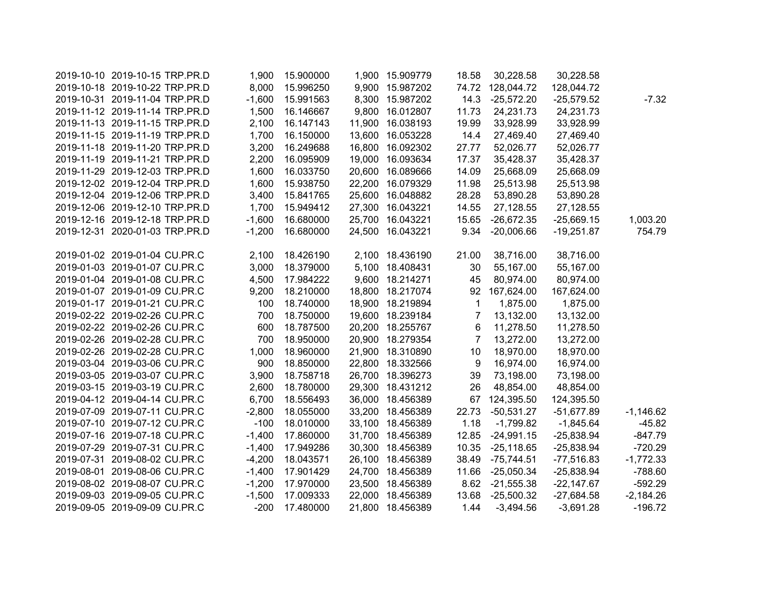| 2019-10-10 2019-10-15 TRP.PR.D | 1,900    | 15.900000 | 1,900 15.909779  | 18.58          | 30,228.58        | 30,228.58    |             |
|--------------------------------|----------|-----------|------------------|----------------|------------------|--------------|-------------|
| 2019-10-18 2019-10-22 TRP.PR.D | 8,000    | 15.996250 | 9,900 15.987202  |                | 74.72 128,044.72 | 128,044.72   |             |
| 2019-10-31 2019-11-04 TRP.PR.D | $-1,600$ | 15.991563 | 8,300 15.987202  | 14.3           | $-25,572.20$     | $-25,579.52$ | $-7.32$     |
| 2019-11-12 2019-11-14 TRP.PR.D | 1,500    | 16.146667 | 9,800 16.012807  | 11.73          | 24,231.73        | 24,231.73    |             |
| 2019-11-13 2019-11-15 TRP.PR.D | 2,100    | 16.147143 | 11,900 16.038193 | 19.99          | 33,928.99        | 33,928.99    |             |
| 2019-11-15 2019-11-19 TRP.PR.D | 1,700    | 16.150000 | 13,600 16.053228 | 14.4           | 27,469.40        | 27,469.40    |             |
| 2019-11-18 2019-11-20 TRP.PR.D | 3,200    | 16.249688 | 16,800 16.092302 | 27.77          | 52,026.77        | 52,026.77    |             |
| 2019-11-19 2019-11-21 TRP.PR.D | 2,200    | 16.095909 | 19,000 16.093634 | 17.37          | 35,428.37        | 35,428.37    |             |
| 2019-11-29 2019-12-03 TRP.PR.D | 1,600    | 16.033750 | 20,600 16.089666 | 14.09          | 25,668.09        | 25,668.09    |             |
| 2019-12-02 2019-12-04 TRP.PR.D | 1,600    | 15.938750 | 22,200 16.079329 | 11.98          | 25,513.98        | 25,513.98    |             |
| 2019-12-04 2019-12-06 TRP.PR.D | 3,400    | 15.841765 | 25,600 16.048882 | 28.28          | 53,890.28        | 53,890.28    |             |
| 2019-12-06 2019-12-10 TRP.PR.D | 1,700    | 15.949412 | 27,300 16.043221 | 14.55          | 27,128.55        | 27,128.55    |             |
| 2019-12-16 2019-12-18 TRP.PR.D | $-1,600$ | 16.680000 | 25,700 16.043221 | 15.65          | $-26,672.35$     | $-25,669.15$ | 1,003.20    |
| 2019-12-31 2020-01-03 TRP.PR.D | $-1,200$ | 16.680000 | 24,500 16.043221 | 9.34           | $-20,006.66$     | $-19,251.87$ | 754.79      |
|                                |          |           |                  |                |                  |              |             |
| 2019-01-02 2019-01-04 CU.PR.C  | 2,100    | 18.426190 | 2,100 18.436190  | 21.00          | 38,716.00        | 38,716.00    |             |
| 2019-01-03 2019-01-07 CU.PR.C  | 3,000    | 18.379000 | 5,100 18.408431  | 30             | 55,167.00        | 55,167.00    |             |
| 2019-01-04 2019-01-08 CU.PR.C  | 4,500    | 17.984222 | 9,600 18.214271  | 45             | 80,974.00        | 80,974.00    |             |
| 2019-01-07 2019-01-09 CU.PR.C  | 9,200    | 18.210000 | 18,800 18.217074 | 92             | 167,624.00       | 167,624.00   |             |
| 2019-01-17 2019-01-21 CU.PR.C  | 100      | 18.740000 | 18,900 18.219894 | $\mathbf 1$    | 1,875.00         | 1,875.00     |             |
| 2019-02-22 2019-02-26 CU.PR.C  | 700      | 18.750000 | 19,600 18.239184 | $\overline{7}$ | 13,132.00        | 13,132.00    |             |
| 2019-02-22 2019-02-26 CU.PR.C  | 600      | 18.787500 | 20,200 18.255767 | 6              | 11,278.50        | 11,278.50    |             |
| 2019-02-26 2019-02-28 CU.PR.C  | 700      | 18.950000 | 20,900 18.279354 | $\overline{7}$ | 13,272.00        | 13,272.00    |             |
| 2019-02-26 2019-02-28 CU.PR.C  | 1,000    | 18.960000 | 21,900 18.310890 | 10             | 18,970.00        | 18,970.00    |             |
| 2019-03-04 2019-03-06 CU.PR.C  | 900      | 18.850000 | 22,800 18.332566 | 9              | 16,974.00        | 16,974.00    |             |
| 2019-03-05 2019-03-07 CU.PR.C  | 3,900    | 18.758718 | 26,700 18.396273 | 39             | 73,198.00        | 73,198.00    |             |
| 2019-03-15 2019-03-19 CU.PR.C  | 2,600    | 18.780000 | 29,300 18.431212 | 26             | 48,854.00        | 48,854.00    |             |
| 2019-04-12 2019-04-14 CU.PR.C  | 6,700    | 18.556493 | 36,000 18.456389 | 67             | 124,395.50       | 124,395.50   |             |
| 2019-07-09 2019-07-11 CU.PR.C  | $-2,800$ | 18.055000 | 33,200 18.456389 | 22.73          | $-50,531.27$     | $-51,677.89$ | $-1,146.62$ |
| 2019-07-10 2019-07-12 CU.PR.C  | $-100$   | 18.010000 | 33,100 18.456389 | 1.18           | $-1,799.82$      | $-1,845.64$  | $-45.82$    |
| 2019-07-16 2019-07-18 CU.PR.C  | $-1,400$ | 17.860000 | 31,700 18.456389 | 12.85          | $-24,991.15$     | $-25,838.94$ | $-847.79$   |
| 2019-07-29 2019-07-31 CU.PR.C  | $-1,400$ | 17.949286 | 30,300 18.456389 | 10.35          | $-25,118.65$     | $-25,838.94$ | $-720.29$   |
| 2019-07-31 2019-08-02 CU.PR.C  | $-4,200$ | 18.043571 | 26,100 18.456389 | 38.49          | -75,744.51       | $-77,516.83$ | $-1,772.33$ |
| 2019-08-01 2019-08-06 CU.PR.C  | $-1,400$ | 17.901429 | 24,700 18.456389 | 11.66          | $-25,050.34$     | -25,838.94   | $-788.60$   |
| 2019-08-02 2019-08-07 CU.PR.C  | $-1,200$ | 17.970000 | 23,500 18.456389 |                | 8.62 -21,555.38  | $-22,147.67$ | $-592.29$   |
| 2019-09-03 2019-09-05 CU.PR.C  | $-1,500$ | 17.009333 | 22,000 18.456389 | 13.68          | $-25,500.32$     | $-27,684.58$ | $-2,184.26$ |
| 2019-09-05 2019-09-09 CU.PR.C  | $-200$   | 17.480000 | 21,800 18.456389 | 1.44           | $-3,494.56$      | $-3,691.28$  | $-196.72$   |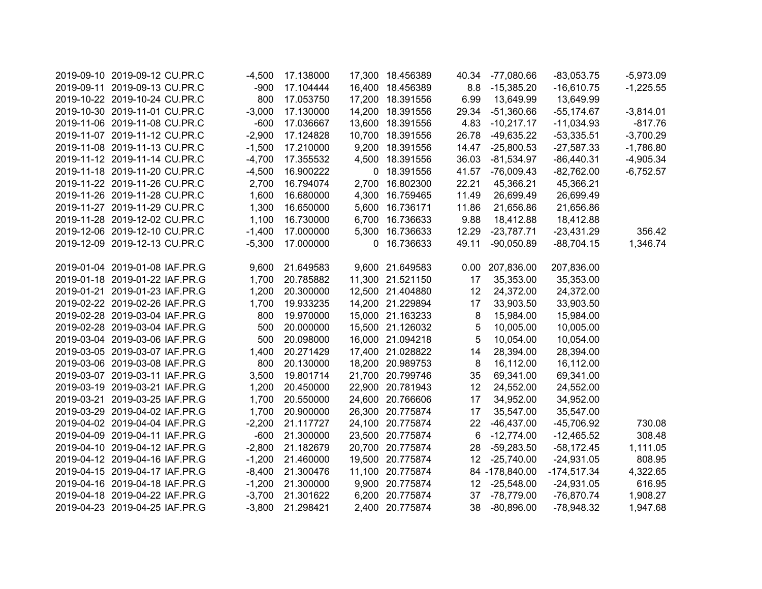| 2019-09-10 2019-09-12 CU.PR.C  | $-4,500$ | 17.138000 | 17,300 18.456389 |       | 40.34 -77,080.66 | $-83,053.75$  | $-5,973.09$ |
|--------------------------------|----------|-----------|------------------|-------|------------------|---------------|-------------|
| 2019-09-11 2019-09-13 CU.PR.C  | $-900$   | 17.104444 | 16,400 18.456389 | 8.8   | $-15,385.20$     | $-16,610.75$  | $-1,225.55$ |
| 2019-10-22 2019-10-24 CU.PR.C  | 800      | 17.053750 | 17,200 18.391556 | 6.99  | 13,649.99        | 13,649.99     |             |
| 2019-10-30 2019-11-01 CU.PR.C  | $-3,000$ | 17.130000 | 14,200 18.391556 | 29.34 | $-51,360.66$     | $-55,174.67$  | $-3,814.01$ |
| 2019-11-06 2019-11-08 CU.PR.C  | $-600$   | 17.036667 | 13,600 18.391556 | 4.83  | $-10,217.17$     | $-11,034.93$  | $-817.76$   |
| 2019-11-07 2019-11-12 CU.PR.C  | $-2,900$ | 17.124828 | 10,700 18.391556 | 26.78 | $-49,635.22$     | $-53,335.51$  | $-3,700.29$ |
| 2019-11-08 2019-11-13 CU.PR.C  | $-1,500$ | 17.210000 | 9,200 18.391556  | 14.47 | $-25,800.53$     | $-27,587.33$  | $-1,786.80$ |
| 2019-11-12 2019-11-14 CU.PR.C  | $-4,700$ | 17.355532 | 4,500 18.391556  | 36.03 | $-81,534.97$     | $-86,440.31$  | $-4,905.34$ |
| 2019-11-18 2019-11-20 CU.PR.C  | $-4,500$ | 16.900222 | 0 18.391556      | 41.57 | $-76,009.43$     | $-82,762.00$  | $-6,752.57$ |
| 2019-11-22 2019-11-26 CU.PR.C  | 2,700    | 16.794074 | 2,700 16.802300  | 22.21 | 45,366.21        | 45,366.21     |             |
| 2019-11-26 2019-11-28 CU.PR.C  | 1,600    | 16.680000 | 4,300 16.759465  | 11.49 | 26,699.49        | 26,699.49     |             |
| 2019-11-27 2019-11-29 CU.PR.C  | 1,300    | 16.650000 | 5,600 16.736171  | 11.86 | 21,656.86        | 21,656.86     |             |
| 2019-11-28 2019-12-02 CU.PR.C  | 1,100    | 16.730000 | 6,700 16.736633  | 9.88  | 18,412.88        | 18,412.88     |             |
| 2019-12-06 2019-12-10 CU.PR.C  | $-1,400$ | 17.000000 | 5,300 16.736633  | 12.29 | $-23,787.71$     | $-23,431.29$  | 356.42      |
| 2019-12-09 2019-12-13 CU.PR.C  | $-5,300$ | 17.000000 | 0 16.736633      | 49.11 | $-90,050.89$     | $-88,704.15$  | 1,346.74    |
|                                |          |           |                  |       |                  |               |             |
| 2019-01-04 2019-01-08 IAF.PR.G | 9,600    | 21.649583 | 9,600 21.649583  | 0.00  | 207,836.00       | 207,836.00    |             |
| 2019-01-18 2019-01-22 IAF.PR.G | 1,700    | 20.785882 | 11,300 21.521150 | 17    | 35,353.00        | 35,353.00     |             |
| 2019-01-21 2019-01-23 IAF.PR.G | 1,200    | 20.300000 | 12,500 21.404880 | 12    | 24,372.00        | 24,372.00     |             |
| 2019-02-22 2019-02-26 IAF.PR.G | 1,700    | 19.933235 | 14,200 21.229894 | 17    | 33,903.50        | 33,903.50     |             |
| 2019-02-28 2019-03-04 IAF.PR.G | 800      | 19.970000 | 15,000 21.163233 | 8     | 15,984.00        | 15,984.00     |             |
| 2019-02-28 2019-03-04 IAF.PR.G | 500      | 20.000000 | 15,500 21.126032 | 5     | 10,005.00        | 10,005.00     |             |
| 2019-03-04 2019-03-06 IAF.PR.G | 500      | 20.098000 | 16,000 21.094218 | 5     | 10,054.00        | 10,054.00     |             |
| 2019-03-05 2019-03-07 IAF.PR.G | 1,400    | 20.271429 | 17,400 21.028822 | 14    | 28,394.00        | 28,394.00     |             |
| 2019-03-06 2019-03-08 IAF.PR.G | 800      | 20.130000 | 18,200 20.989753 | 8     | 16,112.00        | 16,112.00     |             |
| 2019-03-07 2019-03-11 IAF.PR.G | 3,500    | 19.801714 | 21,700 20.799746 | 35    | 69,341.00        | 69,341.00     |             |
| 2019-03-19 2019-03-21 IAF.PR.G | 1,200    | 20.450000 | 22,900 20.781943 | 12    | 24,552.00        | 24,552.00     |             |
| 2019-03-21 2019-03-25 IAF.PR.G | 1,700    | 20.550000 | 24,600 20.766606 | 17    | 34,952.00        | 34,952.00     |             |
| 2019-03-29 2019-04-02 IAF.PR.G | 1,700    | 20.900000 | 26,300 20.775874 | 17    | 35,547.00        | 35,547.00     |             |
| 2019-04-02 2019-04-04 IAF.PR.G | $-2,200$ | 21.117727 | 24,100 20.775874 | 22    | $-46,437.00$     | $-45,706.92$  | 730.08      |
| 2019-04-09 2019-04-11 IAF.PR.G | $-600$   | 21.300000 | 23,500 20.775874 | 6     | $-12,774.00$     | $-12,465.52$  | 308.48      |
| 2019-04-10 2019-04-12 IAF.PR.G | $-2,800$ | 21.182679 | 20,700 20.775874 | 28    | $-59,283.50$     | $-58,172.45$  | 1,111.05    |
| 2019-04-12 2019-04-16 IAF.PR.G | $-1,200$ | 21.460000 | 19,500 20.775874 | 12    | $-25,740.00$     | $-24,931.05$  | 808.95      |
| 2019-04-15 2019-04-17 IAF.PR.G | $-8,400$ | 21.300476 | 11,100 20.775874 |       | 84 -178,840.00   | $-174,517.34$ | 4,322.65    |
| 2019-04-16 2019-04-18 IAF.PR.G | $-1,200$ | 21.300000 | 9,900 20.775874  | 12    | $-25,548.00$     | $-24,931.05$  | 616.95      |
| 2019-04-18 2019-04-22 IAF.PR.G | $-3,700$ | 21.301622 | 6,200 20.775874  | 37    | $-78,779.00$     | $-76,870.74$  | 1,908.27    |
| 2019-04-23 2019-04-25 IAF.PR.G | $-3,800$ | 21.298421 | 2,400 20.775874  | 38    | $-80,896.00$     | $-78,948.32$  | 1,947.68    |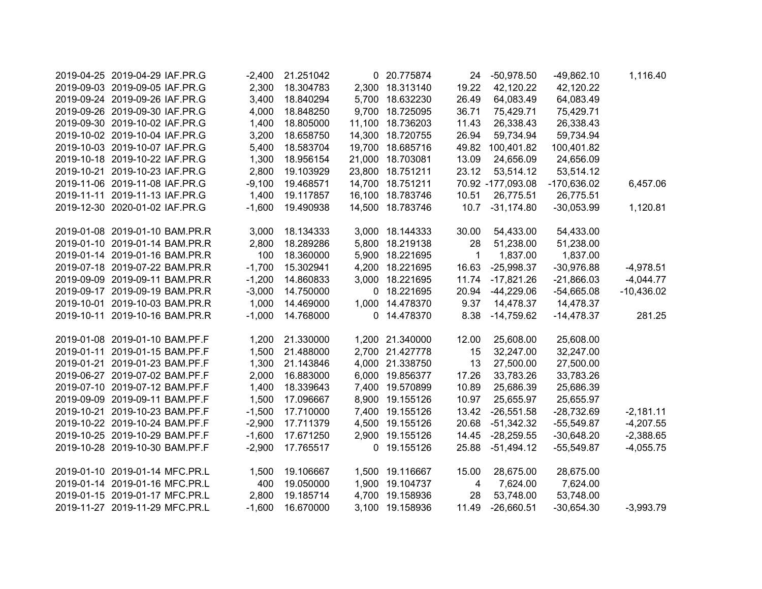| 2019-04-25 2019-04-29 IAF.PR.G | $-2,400$ | 21.251042 |              | 0 20.775874      | 24           | $-50,978.50$      | $-49,862.10$  | 1,116.40     |
|--------------------------------|----------|-----------|--------------|------------------|--------------|-------------------|---------------|--------------|
| 2019-09-03 2019-09-05 IAF.PR.G | 2,300    | 18.304783 |              | 2,300 18.313140  | 19.22        | 42,120.22         | 42,120.22     |              |
| 2019-09-24 2019-09-26 IAF.PR.G | 3,400    | 18.840294 |              | 5,700 18.632230  | 26.49        | 64,083.49         | 64,083.49     |              |
| 2019-09-26 2019-09-30 IAF.PR.G | 4,000    | 18.848250 |              | 9,700 18.725095  | 36.71        | 75,429.71         | 75,429.71     |              |
| 2019-09-30 2019-10-02 IAF.PR.G | 1,400    | 18.805000 |              | 11,100 18.736203 | 11.43        | 26,338.43         | 26,338.43     |              |
| 2019-10-02 2019-10-04 IAF.PR.G | 3,200    | 18.658750 | 14,300       | 18.720755        | 26.94        | 59,734.94         | 59,734.94     |              |
| 2019-10-03 2019-10-07 IAF.PR.G | 5,400    | 18.583704 |              | 19,700 18.685716 | 49.82        | 100,401.82        | 100,401.82    |              |
| 2019-10-18 2019-10-22 IAF.PR.G | 1,300    | 18.956154 |              | 21,000 18.703081 | 13.09        | 24,656.09         | 24,656.09     |              |
| 2019-10-21 2019-10-23 IAF.PR.G | 2,800    | 19.103929 |              | 23,800 18.751211 | 23.12        | 53,514.12         | 53,514.12     |              |
| 2019-11-06 2019-11-08 IAF.PR.G | $-9,100$ | 19.468571 |              | 14,700 18.751211 |              | 70.92 -177,093.08 | $-170,636.02$ | 6,457.06     |
| 2019-11-11 2019-11-13 IAF.PR.G | 1,400    | 19.117857 |              | 16,100 18.783746 | 10.51        | 26,775.51         | 26,775.51     |              |
| 2019-12-30 2020-01-02 IAF.PR.G | $-1,600$ | 19.490938 |              | 14,500 18.783746 | 10.7         | $-31,174.80$      | $-30,053.99$  | 1,120.81     |
| 2019-01-08 2019-01-10 BAM.PR.R | 3,000    | 18.134333 |              | 3,000 18.144333  | 30.00        | 54,433.00         | 54,433.00     |              |
| 2019-01-10 2019-01-14 BAM.PR.R | 2,800    | 18.289286 |              | 5,800 18.219138  | 28           | 51,238.00         | 51,238.00     |              |
| 2019-01-14 2019-01-16 BAM.PR.R | 100      | 18.360000 |              | 5,900 18.221695  | $\mathbf{1}$ | 1,837.00          | 1,837.00      |              |
| 2019-07-18 2019-07-22 BAM.PR.R | $-1,700$ | 15.302941 |              | 4,200 18.221695  | 16.63        | $-25,998.37$      | $-30,976.88$  | $-4,978.51$  |
| 2019-09-09 2019-09-11 BAM.PR.R | $-1,200$ | 14.860833 |              | 3,000 18.221695  | 11.74        | $-17,821.26$      | $-21,866.03$  | $-4,044.77$  |
| 2019-09-17 2019-09-19 BAM.PR.R | $-3,000$ | 14.750000 |              | 0 18.221695      | 20.94        | $-44,229.06$      | $-54,665.08$  | $-10,436.02$ |
| 2019-10-01 2019-10-03 BAM.PR.R | 1,000    | 14.469000 |              | 1,000 14.478370  | 9.37         | 14,478.37         | 14,478.37     |              |
| 2019-10-11 2019-10-16 BAM.PR.R | $-1,000$ | 14.768000 |              | 0 14.478370      | 8.38         | $-14,759.62$      | $-14,478.37$  | 281.25       |
| 2019-01-08 2019-01-10 BAM.PF.F | 1,200    | 21.330000 |              | 1,200 21.340000  | 12.00        | 25,608.00         | 25,608.00     |              |
| 2019-01-11 2019-01-15 BAM.PF.F | 1,500    | 21.488000 |              | 2,700 21.427778  | 15           | 32,247.00         | 32,247.00     |              |
| 2019-01-21 2019-01-23 BAM.PF.F | 1,300    | 21.143846 |              | 4,000 21.338750  | 13           | 27,500.00         | 27,500.00     |              |
| 2019-06-27 2019-07-02 BAM.PF.F | 2,000    | 16.883000 |              | 6,000 19.856377  | 17.26        | 33,783.26         | 33,783.26     |              |
| 2019-07-10 2019-07-12 BAM.PF.F | 1,400    | 18.339643 |              | 7,400 19.570899  | 10.89        | 25,686.39         | 25,686.39     |              |
| 2019-09-09 2019-09-11 BAM.PF.F | 1,500    | 17.096667 |              | 8,900 19.155126  | 10.97        | 25,655.97         | 25,655.97     |              |
| 2019-10-21 2019-10-23 BAM.PF.F | $-1,500$ | 17.710000 |              | 7,400 19.155126  | 13.42        | $-26,551.58$      | $-28,732.69$  | $-2,181.11$  |
| 2019-10-22 2019-10-24 BAM.PF.F | $-2,900$ | 17.711379 |              | 4,500 19.155126  | 20.68        | $-51,342.32$      | $-55,549.87$  | $-4,207.55$  |
| 2019-10-25 2019-10-29 BAM.PF.F | $-1,600$ | 17.671250 |              | 2,900 19.155126  | 14.45        | $-28,259.55$      | $-30,648.20$  | $-2,388.65$  |
| 2019-10-28 2019-10-30 BAM.PF.F | $-2,900$ | 17.765517 | $\mathbf{0}$ | 19.155126        | 25.88        | $-51,494.12$      | $-55,549.87$  | $-4,055.75$  |
| 2019-01-10 2019-01-14 MFC.PR.L | 1,500    | 19.106667 |              | 1,500 19.116667  | 15.00        | 28,675.00         | 28,675.00     |              |
| 2019-01-14 2019-01-16 MFC.PR.L | 400      | 19.050000 |              | 1,900 19.104737  | 4            | 7,624.00          | 7,624.00      |              |
| 2019-01-15 2019-01-17 MFC.PR.L | 2,800    | 19.185714 |              | 4,700 19.158936  | 28           | 53,748.00         | 53,748.00     |              |
| 2019-11-27 2019-11-29 MFC.PR.L | $-1,600$ | 16.670000 |              | 3,100 19.158936  | 11.49        | $-26,660.51$      | $-30,654.30$  | $-3,993.79$  |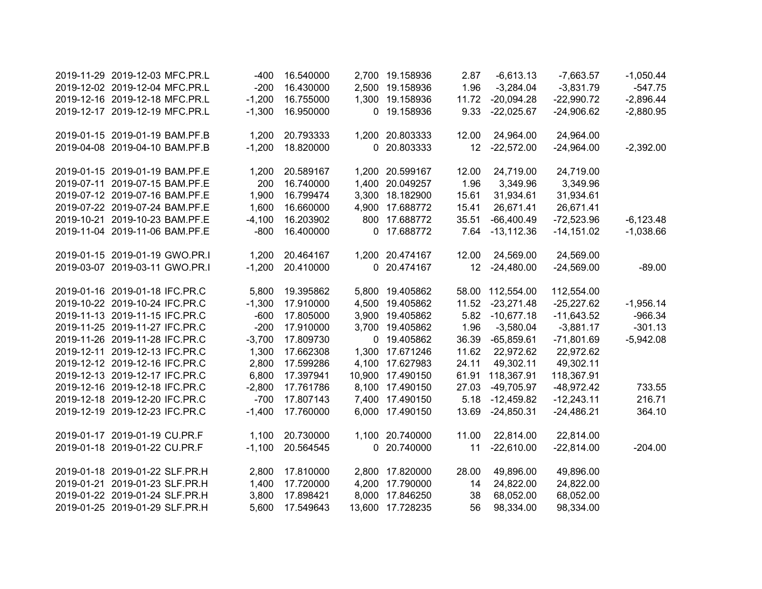| 2019-11-29 2019-12-03 MFC.PR.L | $-400$   | 16.540000 | 2,700 19.158936  | 2.87            | $-6,613.13$      | $-7,663.57$  | $-1,050.44$ |
|--------------------------------|----------|-----------|------------------|-----------------|------------------|--------------|-------------|
| 2019-12-02 2019-12-04 MFC.PR.L | $-200$   | 16.430000 | 2,500 19.158936  | 1.96            | $-3,284.04$      | $-3,831.79$  | $-547.75$   |
| 2019-12-16 2019-12-18 MFC.PR.L | $-1,200$ | 16.755000 | 1,300 19.158936  | 11.72           | $-20,094.28$     | $-22,990.72$ | $-2,896.44$ |
| 2019-12-17 2019-12-19 MFC.PR.L | $-1,300$ | 16.950000 | 0 19.158936      | 9.33            | $-22,025.67$     | $-24,906.62$ | $-2,880.95$ |
| 2019-01-15 2019-01-19 BAM.PF.B | 1,200    | 20.793333 | 1,200 20.803333  | 12.00           | 24,964.00        | 24,964.00    |             |
| 2019-04-08 2019-04-10 BAM.PF.B | $-1,200$ | 18.820000 | 0 20.803333      | 12              | $-22,572.00$     | $-24,964.00$ | $-2,392.00$ |
| 2019-01-15 2019-01-19 BAM.PF.E | 1,200    | 20.589167 | 1,200 20.599167  | 12.00           | 24,719.00        | 24,719.00    |             |
| 2019-07-11 2019-07-15 BAM.PF.E | 200      | 16.740000 | 1,400 20.049257  | 1.96            | 3,349.96         | 3,349.96     |             |
| 2019-07-12 2019-07-16 BAM.PF.E | 1,900    | 16.799474 | 3,300 18.182900  | 15.61           | 31,934.61        | 31,934.61    |             |
| 2019-07-22 2019-07-24 BAM.PF.E | 1,600    | 16.660000 | 4,900 17.688772  | 15.41           | 26,671.41        | 26,671.41    |             |
| 2019-10-21 2019-10-23 BAM.PF.E | $-4,100$ | 16.203902 | 800 17.688772    | 35.51           | $-66,400.49$     | $-72,523.96$ | $-6,123.48$ |
| 2019-11-04 2019-11-06 BAM.PF.E | $-800$   | 16.400000 | 0 17.688772      | 7.64            | $-13,112.36$     | $-14,151.02$ | $-1,038.66$ |
| 2019-01-15 2019-01-19 GWO.PR.I | 1,200    | 20.464167 | 1,200 20.474167  | 12.00           | 24,569.00        | 24,569.00    |             |
| 2019-03-07 2019-03-11 GWO.PR.I | $-1,200$ | 20.410000 | 0 20.474167      | 12 <sup>2</sup> | $-24,480.00$     | $-24,569.00$ | $-89.00$    |
| 2019-01-16 2019-01-18 IFC.PR.C | 5,800    | 19.395862 | 5,800 19.405862  |                 | 58.00 112,554.00 | 112,554.00   |             |
| 2019-10-22 2019-10-24 IFC.PR.C | $-1,300$ | 17.910000 | 4,500 19.405862  | 11.52           | $-23,271.48$     | $-25,227.62$ | $-1,956.14$ |
| 2019-11-13 2019-11-15 IFC.PR.C | $-600$   | 17.805000 | 3,900 19.405862  | 5.82            | $-10,677.18$     | $-11,643.52$ | $-966.34$   |
| 2019-11-25 2019-11-27 IFC.PR.C | $-200$   | 17.910000 | 3,700 19.405862  | 1.96            | $-3,580.04$      | $-3,881.17$  | $-301.13$   |
| 2019-11-26 2019-11-28 IFC.PR.C | $-3,700$ | 17.809730 | 0 19.405862      | 36.39           | $-65,859.61$     | $-71,801.69$ | $-5,942.08$ |
| 2019-12-11 2019-12-13 IFC.PR.C | 1,300    | 17.662308 | 1,300 17.671246  | 11.62           | 22,972.62        | 22,972.62    |             |
| 2019-12-12 2019-12-16 IFC.PR.C | 2,800    | 17.599286 | 4,100 17.627983  | 24.11           | 49,302.11        | 49,302.11    |             |
| 2019-12-13 2019-12-17 IFC.PR.C | 6,800    | 17.397941 | 10,900 17.490150 | 61.91           | 118,367.91       | 118,367.91   |             |
| 2019-12-16 2019-12-18 IFC.PR.C | $-2,800$ | 17.761786 | 8,100 17.490150  | 27.03           | -49,705.97       | $-48,972.42$ | 733.55      |
| 2019-12-18 2019-12-20 IFC.PR.C | $-700$   | 17.807143 | 7,400 17.490150  | 5.18            | $-12,459.82$     | $-12,243.11$ | 216.71      |
| 2019-12-19 2019-12-23 IFC.PR.C | $-1,400$ | 17.760000 | 6,000 17.490150  | 13.69           | $-24,850.31$     | $-24,486.21$ | 364.10      |
| 2019-01-17 2019-01-19 CU.PR.F  | 1,100    | 20.730000 | 1,100 20.740000  | 11.00           | 22,814.00        | 22,814.00    |             |
| 2019-01-18 2019-01-22 CU.PR.F  | $-1,100$ | 20.564545 | 0 20.740000      | 11              | $-22,610.00$     | $-22,814.00$ | $-204.00$   |
| 2019-01-18 2019-01-22 SLF.PR.H | 2,800    | 17.810000 | 2,800 17.820000  | 28.00           | 49,896.00        | 49,896.00    |             |
| 2019-01-21 2019-01-23 SLF.PR.H | 1,400    | 17.720000 | 4,200 17.790000  | 14              | 24,822.00        | 24,822.00    |             |
| 2019-01-22 2019-01-24 SLF.PR.H | 3,800    | 17.898421 | 8,000 17.846250  | 38              | 68,052.00        | 68,052.00    |             |
| 2019-01-25 2019-01-29 SLF.PR.H | 5,600    | 17.549643 | 13,600 17.728235 | 56              | 98,334.00        | 98,334.00    |             |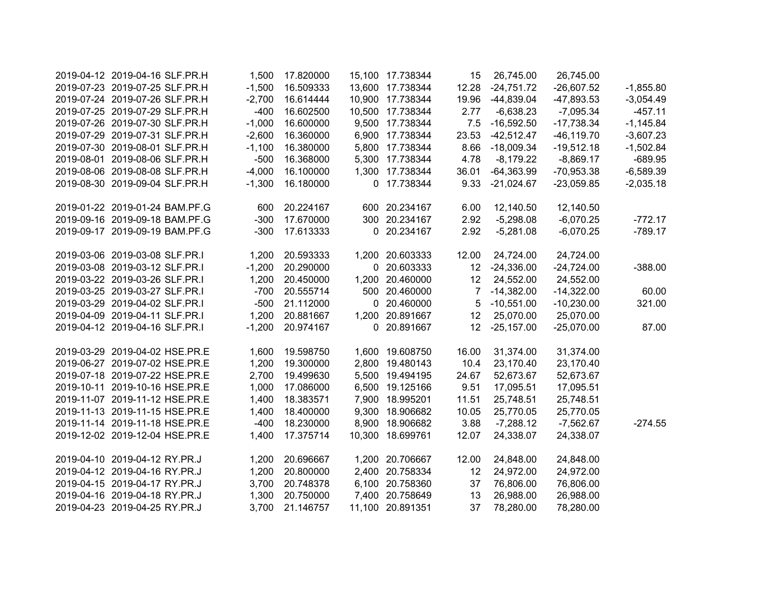| 2019-04-12 2019-04-16 SLF.PR.H | 1,500    | 17.820000 | 15,100 17.738344 | 15              | 26,745.00    | 26,745.00     |             |
|--------------------------------|----------|-----------|------------------|-----------------|--------------|---------------|-------------|
| 2019-07-23 2019-07-25 SLF.PR.H | $-1,500$ | 16.509333 | 13,600 17.738344 | 12.28           | $-24,751.72$ | $-26,607.52$  | $-1,855.80$ |
| 2019-07-24 2019-07-26 SLF.PR.H | $-2,700$ | 16.614444 | 10,900 17.738344 | 19.96           | $-44,839.04$ | $-47,893.53$  | $-3,054.49$ |
| 2019-07-25 2019-07-29 SLF.PR.H | $-400$   | 16.602500 | 10,500 17.738344 | 2.77            | $-6,638.23$  | $-7,095.34$   | $-457.11$   |
| 2019-07-26 2019-07-30 SLF.PR.H | $-1,000$ | 16.600000 | 9,500 17.738344  | 7.5             | $-16,592.50$ | $-17,738.34$  | $-1,145.84$ |
| 2019-07-29 2019-07-31 SLF.PR.H | $-2,600$ | 16.360000 | 6,900 17.738344  | 23.53           | $-42,512.47$ | $-46, 119.70$ | $-3,607.23$ |
| 2019-07-30 2019-08-01 SLF.PR.H | $-1,100$ | 16.380000 | 5,800 17.738344  | 8.66            | $-18,009.34$ | $-19,512.18$  | $-1,502.84$ |
| 2019-08-01 2019-08-06 SLF.PR.H | $-500$   | 16.368000 | 5,300 17.738344  | 4.78            | $-8,179.22$  | $-8,869.17$   | $-689.95$   |
| 2019-08-06 2019-08-08 SLF.PR.H | $-4,000$ | 16.100000 | 1,300 17.738344  | 36.01           | $-64,363.99$ | $-70,953.38$  | $-6,589.39$ |
| 2019-08-30 2019-09-04 SLF.PR.H | $-1,300$ | 16.180000 | 0 17.738344      | 9.33            | $-21,024.67$ | $-23,059.85$  | $-2,035.18$ |
| 2019-01-22 2019-01-24 BAM.PF.G | 600      | 20.224167 | 600 20.234167    | 6.00            | 12,140.50    | 12,140.50     |             |
| 2019-09-16 2019-09-18 BAM.PF.G | $-300$   | 17.670000 | 300 20.234167    | 2.92            | $-5,298.08$  | $-6,070.25$   | $-772.17$   |
| 2019-09-17 2019-09-19 BAM.PF.G | $-300$   | 17.613333 | 0 20.234167      | 2.92            | $-5,281.08$  | $-6,070.25$   | $-789.17$   |
| 2019-03-06 2019-03-08 SLF.PR.I | 1,200    | 20.593333 | 1,200 20.603333  | 12.00           | 24,724.00    | 24,724.00     |             |
| 2019-03-08 2019-03-12 SLF.PR.I | $-1,200$ | 20.290000 | 0 20.603333      | 12 <sup>7</sup> | $-24,336.00$ | $-24,724.00$  | $-388.00$   |
| 2019-03-22 2019-03-26 SLF.PR.I | 1,200    | 20.450000 | 1,200 20.460000  | 12 <sup>°</sup> | 24,552.00    | 24,552.00     |             |
| 2019-03-25 2019-03-27 SLF.PR.I | $-700$   | 20.555714 | 500 20.460000    | $\overline{7}$  | $-14,382.00$ | $-14,322.00$  | 60.00       |
| 2019-03-29 2019-04-02 SLF.PR.I | $-500$   | 21.112000 | 0 20.460000      | 5               | $-10,551.00$ | $-10,230.00$  | 321.00      |
| 2019-04-09 2019-04-11 SLF.PR.I | 1,200    | 20.881667 | 1,200 20.891667  | 12              | 25,070.00    | 25,070.00     |             |
| 2019-04-12 2019-04-16 SLF.PR.I | $-1,200$ | 20.974167 | 0 20.891667      | 12 <sup>°</sup> | $-25,157.00$ | $-25,070.00$  | 87.00       |
| 2019-03-29 2019-04-02 HSE.PR.E | 1,600    | 19.598750 | 1,600 19.608750  | 16.00           | 31,374.00    | 31,374.00     |             |
| 2019-06-27 2019-07-02 HSE.PR.E | 1,200    | 19.300000 | 2,800 19.480143  | 10.4            | 23,170.40    | 23,170.40     |             |
| 2019-07-18 2019-07-22 HSE.PR.E | 2,700    | 19.499630 | 5,500 19.494195  | 24.67           | 52,673.67    | 52,673.67     |             |
| 2019-10-11 2019-10-16 HSE.PR.E | 1,000    | 17.086000 | 6,500 19.125166  | 9.51            | 17,095.51    | 17,095.51     |             |
| 2019-11-07 2019-11-12 HSE.PR.E | 1,400    | 18.383571 | 7,900 18.995201  | 11.51           | 25,748.51    | 25,748.51     |             |
| 2019-11-13 2019-11-15 HSE.PR.E | 1,400    | 18.400000 | 9,300 18.906682  | 10.05           | 25,770.05    | 25,770.05     |             |
| 2019-11-14 2019-11-18 HSE.PR.E | $-400$   | 18.230000 | 8,900 18.906682  | 3.88            | $-7,288.12$  | $-7,562.67$   | $-274.55$   |
| 2019-12-02 2019-12-04 HSE.PR.E | 1,400    | 17.375714 | 10,300 18.699761 | 12.07           | 24,338.07    | 24,338.07     |             |
| 2019-04-10 2019-04-12 RY.PR.J  | 1,200    | 20.696667 | 1,200 20.706667  | 12.00           | 24,848.00    | 24,848.00     |             |
| 2019-04-12 2019-04-16 RY.PR.J  | 1,200    | 20.800000 | 2,400 20.758334  | 12              | 24,972.00    | 24,972.00     |             |
| 2019-04-15 2019-04-17 RY.PR.J  | 3,700    | 20.748378 | 6,100 20.758360  | 37              | 76,806.00    | 76,806.00     |             |
| 2019-04-16 2019-04-18 RY.PR.J  | 1,300    | 20.750000 | 7,400 20.758649  | 13              | 26,988.00    | 26,988.00     |             |
| 2019-04-23 2019-04-25 RY.PR.J  | 3,700    | 21.146757 | 11,100 20.891351 | 37              | 78,280.00    | 78,280.00     |             |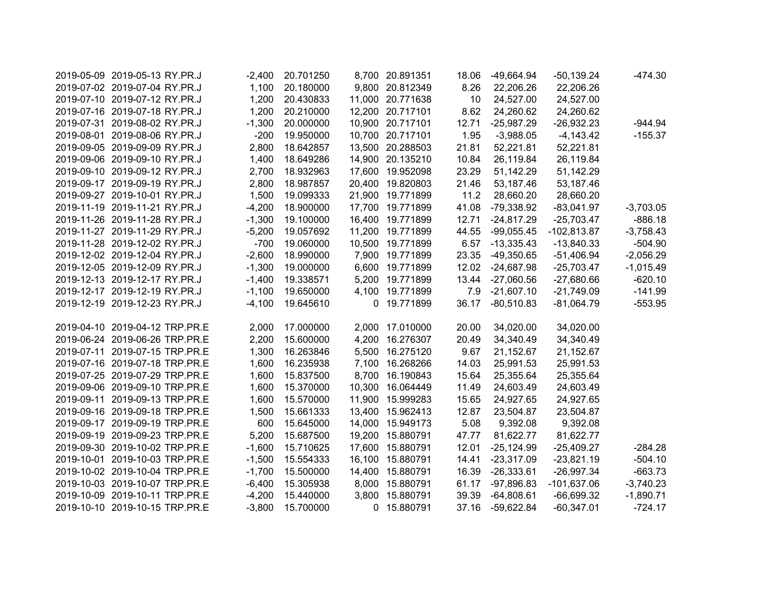| 2019-05-09 2019-05-13 RY.PR.J  | $-2,400$ | 20.701250 | 8,700 20.891351  | 18.06 | -49,664.94       | $-50,139.24$  | $-474.30$   |
|--------------------------------|----------|-----------|------------------|-------|------------------|---------------|-------------|
| 2019-07-02 2019-07-04 RY.PR.J  | 1,100    | 20.180000 | 9,800 20.812349  | 8.26  | 22,206.26        | 22,206.26     |             |
| 2019-07-10 2019-07-12 RY.PR.J  | 1,200    | 20.430833 | 11,000 20.771638 | 10    | 24,527.00        | 24,527.00     |             |
| 2019-07-16 2019-07-18 RY.PR.J  | 1,200    | 20.210000 | 12,200 20.717101 | 8.62  | 24,260.62        | 24,260.62     |             |
| 2019-07-31 2019-08-02 RY.PR.J  | $-1,300$ | 20.000000 | 10,900 20.717101 | 12.71 | $-25,987.29$     | $-26,932.23$  | $-944.94$   |
| 2019-08-01 2019-08-06 RY.PR.J  | $-200$   | 19.950000 | 10,700 20.717101 | 1.95  | $-3,988.05$      | $-4,143.42$   | $-155.37$   |
| 2019-09-05 2019-09-09 RY.PR.J  | 2,800    | 18.642857 | 13,500 20.288503 | 21.81 | 52,221.81        | 52,221.81     |             |
| 2019-09-06 2019-09-10 RY.PR.J  | 1,400    | 18.649286 | 14,900 20.135210 | 10.84 | 26,119.84        | 26,119.84     |             |
| 2019-09-10 2019-09-12 RY.PR.J  | 2,700    | 18.932963 | 17,600 19.952098 | 23.29 | 51,142.29        | 51,142.29     |             |
| 2019-09-17 2019-09-19 RY.PR.J  | 2,800    | 18.987857 | 20,400 19.820803 | 21.46 | 53,187.46        | 53,187.46     |             |
| 2019-09-27 2019-10-01 RY.PR.J  | 1,500    | 19.099333 | 21,900 19.771899 | 11.2  | 28,660.20        | 28,660.20     |             |
| 2019-11-19 2019-11-21 RY.PR.J  | $-4,200$ | 18.900000 | 17,700 19.771899 | 41.08 | -79,338.92       | $-83,041.97$  | $-3,703.05$ |
| 2019-11-26 2019-11-28 RY.PR.J  | $-1,300$ | 19.100000 | 16,400 19.771899 | 12.71 | $-24,817.29$     | $-25,703.47$  | $-886.18$   |
| 2019-11-27 2019-11-29 RY.PR.J  | $-5,200$ | 19.057692 | 11,200 19.771899 | 44.55 | $-99,055.45$     | $-102,813.87$ | $-3,758.43$ |
| 2019-11-28 2019-12-02 RY.PR.J  | $-700$   | 19.060000 | 10,500 19.771899 | 6.57  | $-13,335.43$     | $-13,840.33$  | $-504.90$   |
| 2019-12-02 2019-12-04 RY.PR.J  | $-2,600$ | 18.990000 | 7,900 19.771899  | 23.35 | $-49,350.65$     | $-51,406.94$  | $-2,056.29$ |
| 2019-12-05 2019-12-09 RY.PR.J  | $-1,300$ | 19.000000 | 6,600 19.771899  | 12.02 | -24,687.98       | $-25,703.47$  | $-1,015.49$ |
| 2019-12-13 2019-12-17 RY.PR.J  | $-1,400$ | 19.338571 | 5,200 19.771899  |       | 13.44 -27,060.56 | $-27,680.66$  | $-620.10$   |
| 2019-12-17 2019-12-19 RY.PR.J  | $-1,100$ | 19.650000 | 4,100 19.771899  | 7.9   | $-21,607.10$     | $-21,749.09$  | $-141.99$   |
| 2019-12-19 2019-12-23 RY.PR.J  | $-4,100$ | 19.645610 | 0 19.771899      | 36.17 | $-80,510.83$     | $-81,064.79$  | $-553.95$   |
| 2019-04-10 2019-04-12 TRP.PR.E | 2,000    | 17.000000 | 2,000 17.010000  | 20.00 | 34,020.00        | 34,020.00     |             |
| 2019-06-24 2019-06-26 TRP.PR.E | 2,200    | 15.600000 | 4,200 16.276307  | 20.49 | 34,340.49        | 34,340.49     |             |
| 2019-07-11 2019-07-15 TRP.PR.E | 1,300    | 16.263846 | 5,500 16.275120  | 9.67  | 21,152.67        | 21,152.67     |             |
| 2019-07-16 2019-07-18 TRP.PR.E | 1,600    | 16.235938 | 7,100 16.268266  | 14.03 | 25,991.53        | 25,991.53     |             |
| 2019-07-25 2019-07-29 TRP.PR.E | 1,600    | 15.837500 | 8,700 16.190843  | 15.64 | 25,355.64        | 25,355.64     |             |
| 2019-09-06 2019-09-10 TRP.PR.E | 1,600    | 15.370000 | 10,300 16.064449 | 11.49 | 24,603.49        | 24,603.49     |             |
| 2019-09-11 2019-09-13 TRP.PR.E | 1,600    | 15.570000 | 11,900 15.999283 | 15.65 | 24,927.65        | 24,927.65     |             |
| 2019-09-16 2019-09-18 TRP.PR.E | 1,500    | 15.661333 | 13,400 15.962413 | 12.87 | 23,504.87        | 23,504.87     |             |
| 2019-09-17 2019-09-19 TRP.PR.E | 600      | 15.645000 | 14,000 15.949173 | 5.08  | 9,392.08         | 9,392.08      |             |
| 2019-09-19 2019-09-23 TRP.PR.E | 5,200    | 15.687500 | 19,200 15.880791 | 47.77 | 81,622.77        | 81,622.77     |             |
| 2019-09-30 2019-10-02 TRP.PR.E | $-1,600$ | 15.710625 | 17,600 15.880791 | 12.01 | $-25,124.99$     | $-25,409.27$  | $-284.28$   |
| 2019-10-01 2019-10-03 TRP.PR.E | $-1,500$ | 15.554333 | 16,100 15.880791 | 14.41 | $-23,317.09$     | $-23,821.19$  | $-504.10$   |
| 2019-10-02 2019-10-04 TRP.PR.E | $-1,700$ | 15.500000 | 14,400 15.880791 | 16.39 | $-26,333.61$     | $-26,997.34$  | $-663.73$   |
| 2019-10-03 2019-10-07 TRP.PR.E | $-6,400$ | 15.305938 | 8,000 15.880791  | 61.17 | $-97,896.83$     | $-101,637.06$ | $-3,740.23$ |
| 2019-10-09 2019-10-11 TRP.PR.E | $-4,200$ | 15.440000 | 3,800 15.880791  | 39.39 | $-64,808.61$     | $-66,699.32$  | $-1,890.71$ |
| 2019-10-10 2019-10-15 TRP.PR.E | $-3,800$ | 15.700000 | 0 15.880791      | 37.16 | $-59,622.84$     | $-60,347.01$  | $-724.17$   |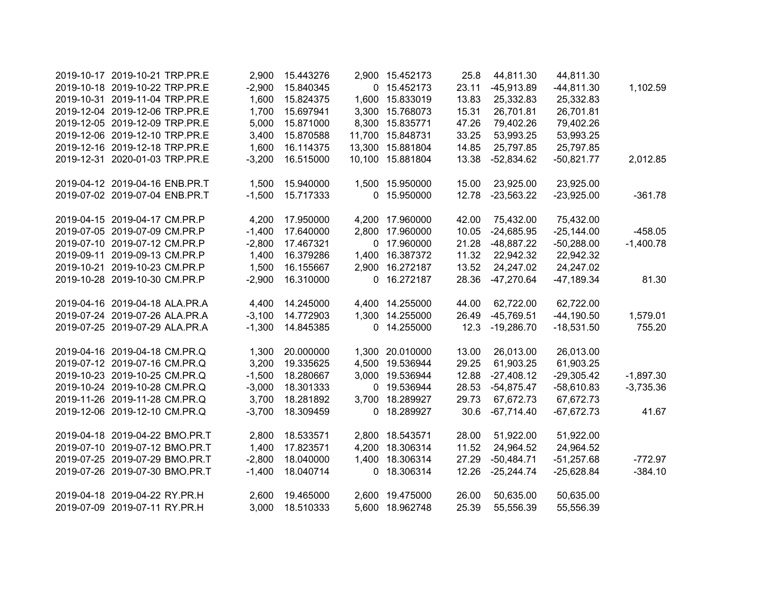| 2019-10-17 2019-10-21 TRP.PR.E | 2,900    | 15.443276 | 2,900 15.452173  | 25.8  | 44,811.30    | 44,811.30    |             |
|--------------------------------|----------|-----------|------------------|-------|--------------|--------------|-------------|
| 2019-10-18 2019-10-22 TRP.PR.E | $-2,900$ | 15.840345 | 0 15.452173      | 23.11 | $-45,913.89$ | $-44,811.30$ | 1,102.59    |
| 2019-10-31 2019-11-04 TRP.PR.E | 1,600    | 15.824375 | 1,600 15.833019  | 13.83 | 25,332.83    | 25,332.83    |             |
| 2019-12-04 2019-12-06 TRP.PR.E | 1,700    | 15.697941 | 3,300 15.768073  | 15.31 | 26,701.81    | 26,701.81    |             |
| 2019-12-05 2019-12-09 TRP.PR.E | 5,000    | 15.871000 | 8,300 15.835771  | 47.26 | 79,402.26    | 79,402.26    |             |
| 2019-12-06 2019-12-10 TRP.PR.E | 3,400    | 15.870588 | 11,700 15.848731 | 33.25 | 53,993.25    | 53,993.25    |             |
| 2019-12-16 2019-12-18 TRP.PR.E | 1,600    | 16.114375 | 13,300 15.881804 | 14.85 | 25,797.85    | 25,797.85    |             |
| 2019-12-31 2020-01-03 TRP.PR.E | $-3,200$ | 16.515000 | 10,100 15.881804 | 13.38 | $-52,834.62$ | $-50,821.77$ | 2,012.85    |
| 2019-04-12 2019-04-16 ENB.PR.T | 1,500    | 15.940000 | 1,500 15.950000  | 15.00 | 23,925.00    | 23,925.00    |             |
| 2019-07-02 2019-07-04 ENB.PR.T | $-1,500$ | 15.717333 | 0 15.950000      | 12.78 | $-23,563.22$ | $-23,925.00$ | $-361.78$   |
| 2019-04-15 2019-04-17 CM.PR.P  | 4,200    | 17.950000 | 4,200 17.960000  | 42.00 | 75,432.00    | 75,432.00    |             |
| 2019-07-05 2019-07-09 CM.PR.P  | $-1,400$ | 17.640000 | 2,800 17.960000  | 10.05 | $-24,685.95$ | $-25,144.00$ | $-458.05$   |
| 2019-07-10 2019-07-12 CM.PR.P  | $-2,800$ | 17.467321 | 0 17.960000      | 21.28 | $-48,887.22$ | $-50,288.00$ | $-1,400.78$ |
| 2019-09-11 2019-09-13 CM.PR.P  | 1,400    | 16.379286 | 1,400 16.387372  | 11.32 | 22,942.32    | 22,942.32    |             |
| 2019-10-21 2019-10-23 CM.PR.P  | 1,500    | 16.155667 | 2,900 16.272187  | 13.52 | 24,247.02    | 24,247.02    |             |
| 2019-10-28 2019-10-30 CM.PR.P  | $-2,900$ | 16.310000 | 0 16.272187      | 28.36 | $-47,270.64$ | $-47,189.34$ | 81.30       |
| 2019-04-16 2019-04-18 ALA.PR.A | 4,400    | 14.245000 | 4,400 14.255000  | 44.00 | 62,722.00    | 62,722.00    |             |
| 2019-07-24 2019-07-26 ALA.PR.A | $-3,100$ | 14.772903 | 1,300 14.255000  | 26.49 | $-45,769.51$ | $-44,190.50$ | 1,579.01    |
| 2019-07-25 2019-07-29 ALA.PR.A | $-1,300$ | 14.845385 | 0 14.255000      | 12.3  | $-19,286.70$ | $-18,531.50$ | 755.20      |
| 2019-04-16 2019-04-18 CM.PR.Q  | 1,300    | 20.000000 | 1,300 20.010000  | 13.00 | 26,013.00    | 26,013.00    |             |
| 2019-07-12 2019-07-16 CM.PR.Q  | 3,200    | 19.335625 | 4,500 19.536944  | 29.25 | 61,903.25    | 61,903.25    |             |
| 2019-10-23 2019-10-25 CM.PR.Q  | $-1,500$ | 18.280667 | 3,000 19.536944  | 12.88 | $-27,408.12$ | $-29,305.42$ | $-1,897.30$ |
| 2019-10-24 2019-10-28 CM.PR.Q  | $-3,000$ | 18.301333 | 0 19.536944      | 28.53 | $-54,875.47$ | $-58,610.83$ | $-3,735.36$ |
| 2019-11-26 2019-11-28 CM.PR.Q  | 3,700    | 18.281892 | 3,700 18.289927  | 29.73 | 67,672.73    | 67,672.73    |             |
| 2019-12-06 2019-12-10 CM.PR.Q  | $-3,700$ | 18.309459 | 0 18.289927      | 30.6  | $-67,714.40$ | $-67,672.73$ | 41.67       |
| 2019-04-18 2019-04-22 BMO.PR.T | 2,800    | 18.533571 | 2,800 18.543571  | 28.00 | 51,922.00    | 51,922.00    |             |
| 2019-07-10 2019-07-12 BMO.PR.T | 1,400    | 17.823571 | 4,200 18.306314  | 11.52 | 24,964.52    | 24,964.52    |             |
| 2019-07-25 2019-07-29 BMO.PR.T | $-2,800$ | 18.040000 | 1,400 18.306314  | 27.29 | $-50,484.71$ | $-51,257.68$ | $-772.97$   |
| 2019-07-26 2019-07-30 BMO.PR.T | $-1,400$ | 18.040714 | 0 18.306314      | 12.26 | $-25,244.74$ | $-25,628.84$ | $-384.10$   |
| 2019-04-18 2019-04-22 RY.PR.H  | 2,600    | 19.465000 | 2,600 19.475000  | 26.00 | 50,635.00    | 50,635.00    |             |
| 2019-07-09 2019-07-11 RY.PR.H  | 3,000    | 18.510333 | 5,600 18.962748  | 25.39 | 55,556.39    | 55,556.39    |             |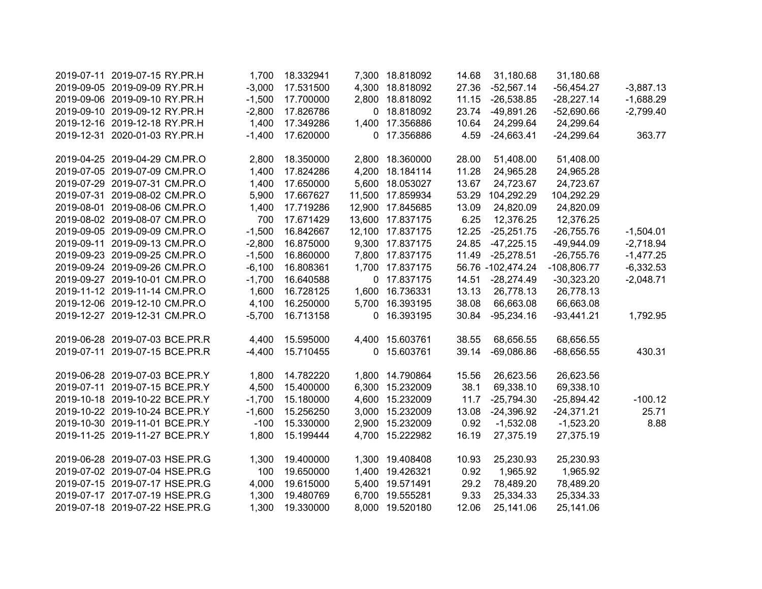| 2019-07-11 2019-07-15 RY.PR.H  | 1,700    | 18.332941 | 7,300 18.818092  | 14.68 | 31,180.68         | 31,180.68     |             |
|--------------------------------|----------|-----------|------------------|-------|-------------------|---------------|-------------|
| 2019-09-05 2019-09-09 RY.PR.H  | $-3,000$ | 17.531500 | 4,300 18.818092  | 27.36 | $-52,567.14$      | $-56,454.27$  | $-3,887.13$ |
| 2019-09-06 2019-09-10 RY.PR.H  | $-1,500$ | 17.700000 | 2,800 18.818092  | 11.15 | $-26,538.85$      | $-28,227.14$  | $-1,688.29$ |
| 2019-09-10 2019-09-12 RY.PR.H  | $-2,800$ | 17.826786 | 0 18.818092      | 23.74 | $-49,891.26$      | $-52,690.66$  | $-2,799.40$ |
| 2019-12-16 2019-12-18 RY.PR.H  | 1,400    | 17.349286 | 1,400 17.356886  | 10.64 | 24,299.64         | 24,299.64     |             |
| 2019-12-31 2020-01-03 RY.PR.H  | $-1,400$ | 17.620000 | 0 17.356886      | 4.59  | $-24,663.41$      | $-24,299.64$  | 363.77      |
| 2019-04-25 2019-04-29 CM.PR.O  | 2,800    | 18.350000 | 2,800 18.360000  | 28.00 | 51,408.00         | 51,408.00     |             |
| 2019-07-05 2019-07-09 CM.PR.O  | 1,400    | 17.824286 | 4,200 18.184114  | 11.28 | 24,965.28         | 24,965.28     |             |
| 2019-07-29 2019-07-31 CM.PR.O  | 1,400    | 17.650000 | 5,600 18.053027  | 13.67 | 24,723.67         | 24,723.67     |             |
| 2019-07-31 2019-08-02 CM.PR.O  | 5,900    | 17.667627 | 11,500 17.859934 |       | 53.29 104,292.29  | 104,292.29    |             |
| 2019-08-01 2019-08-06 CM.PR.O  | 1,400    | 17.719286 | 12,900 17.845685 | 13.09 | 24,820.09         | 24,820.09     |             |
| 2019-08-02 2019-08-07 CM.PR.O  | 700      | 17.671429 | 13,600 17.837175 | 6.25  | 12,376.25         | 12,376.25     |             |
| 2019-09-05 2019-09-09 CM.PR.O  | $-1,500$ | 16.842667 | 12,100 17.837175 | 12.25 | $-25,251.75$      | $-26,755.76$  | $-1,504.01$ |
| 2019-09-11 2019-09-13 CM.PR.O  | $-2,800$ | 16.875000 | 9,300 17.837175  | 24.85 | $-47,225.15$      | $-49,944.09$  | $-2,718.94$ |
| 2019-09-23 2019-09-25 CM.PR.O  | $-1,500$ | 16.860000 | 7,800 17.837175  | 11.49 | $-25,278.51$      | $-26,755.76$  | $-1,477.25$ |
| 2019-09-24 2019-09-26 CM.PR.O  | $-6,100$ | 16.808361 | 1,700 17.837175  |       | 56.76 -102,474.24 | $-108,806.77$ | $-6,332.53$ |
| 2019-09-27 2019-10-01 CM.PR.O  | $-1,700$ | 16.640588 | 0 17.837175      | 14.51 | $-28,274.49$      | $-30,323.20$  | $-2,048.71$ |
| 2019-11-12 2019-11-14 CM.PR.O  | 1,600    | 16.728125 | 1,600 16.736331  | 13.13 | 26,778.13         | 26,778.13     |             |
| 2019-12-06 2019-12-10 CM.PR.O  | 4,100    | 16.250000 | 5,700 16.393195  | 38.08 | 66,663.08         | 66,663.08     |             |
| 2019-12-27 2019-12-31 CM.PR.O  | $-5,700$ | 16.713158 | 0 16.393195      | 30.84 | $-95,234.16$      | $-93,441.21$  | 1,792.95    |
| 2019-06-28 2019-07-03 BCE.PR.R | 4,400    | 15.595000 | 4,400 15.603761  | 38.55 | 68,656.55         | 68,656.55     |             |
| 2019-07-11 2019-07-15 BCE.PR.R | $-4,400$ | 15.710455 | 0 15.603761      | 39.14 | $-69,086.86$      | $-68,656.55$  | 430.31      |
| 2019-06-28 2019-07-03 BCE.PR.Y | 1,800    | 14.782220 | 1,800 14.790864  | 15.56 | 26,623.56         | 26,623.56     |             |
| 2019-07-11 2019-07-15 BCE.PR.Y | 4,500    | 15.400000 | 6,300 15.232009  | 38.1  | 69,338.10         | 69,338.10     |             |
| 2019-10-18 2019-10-22 BCE.PR.Y | $-1,700$ | 15.180000 | 4,600 15.232009  | 11.7  | $-25,794.30$      | $-25,894.42$  | $-100.12$   |
| 2019-10-22 2019-10-24 BCE.PR.Y | $-1,600$ | 15.256250 | 3,000 15.232009  | 13.08 | $-24,396.92$      | $-24,371.21$  | 25.71       |
| 2019-10-30 2019-11-01 BCE.PR.Y | $-100$   | 15.330000 | 2,900 15.232009  | 0.92  | $-1,532.08$       | $-1,523.20$   | 8.88        |
| 2019-11-25 2019-11-27 BCE.PR.Y | 1,800    | 15.199444 | 4,700 15.222982  | 16.19 | 27,375.19         | 27,375.19     |             |
| 2019-06-28 2019-07-03 HSE.PR.G | 1,300    | 19.400000 | 1,300 19.408408  | 10.93 | 25,230.93         | 25,230.93     |             |
| 2019-07-02 2019-07-04 HSE.PR.G | 100      | 19.650000 | 1,400 19.426321  | 0.92  | 1,965.92          | 1,965.92      |             |
| 2019-07-15 2019-07-17 HSE.PR.G | 4,000    | 19.615000 | 5,400 19.571491  | 29.2  | 78,489.20         | 78,489.20     |             |
| 2019-07-17 2017-07-19 HSE.PR.G | 1,300    | 19.480769 | 6,700 19.555281  | 9.33  | 25,334.33         | 25,334.33     |             |
| 2019-07-18 2019-07-22 HSE.PR.G | 1,300    | 19.330000 | 8,000 19.520180  | 12.06 | 25,141.06         | 25,141.06     |             |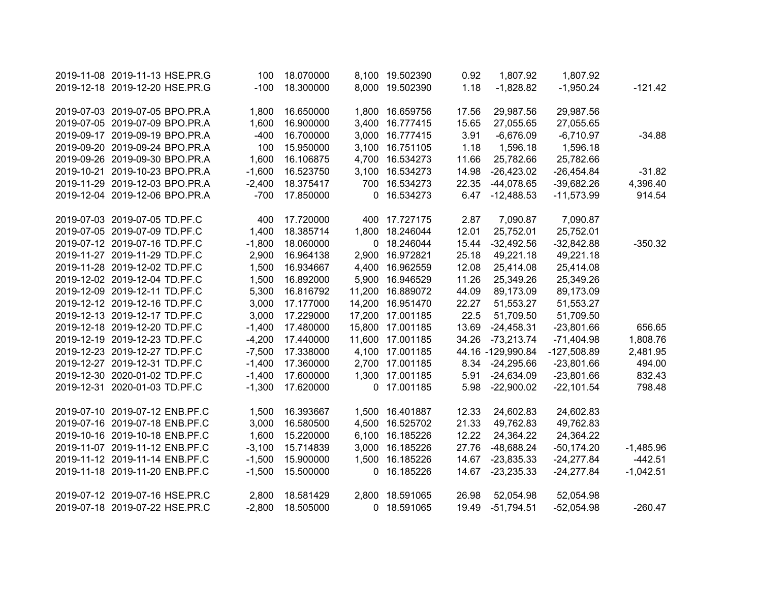| 2019-11-08 2019-11-13 HSE.PR.G | 100      | 18.070000 | 8,100 19.502390  | 0.92  | 1,807.92          | 1,807.92      |             |
|--------------------------------|----------|-----------|------------------|-------|-------------------|---------------|-------------|
| 2019-12-18 2019-12-20 HSE.PR.G | $-100$   | 18.300000 | 8,000 19.502390  | 1.18  | $-1,828.82$       | $-1,950.24$   | $-121.42$   |
|                                |          |           |                  |       |                   |               |             |
| 2019-07-03 2019-07-05 BPO.PR.A | 1,800    | 16.650000 | 1,800 16.659756  | 17.56 | 29,987.56         | 29,987.56     |             |
| 2019-07-05 2019-07-09 BPO.PR.A | 1,600    | 16.900000 | 3,400 16.777415  | 15.65 | 27,055.65         | 27,055.65     |             |
| 2019-09-17 2019-09-19 BPO.PR.A | $-400$   | 16.700000 | 3,000 16.777415  | 3.91  | $-6,676.09$       | $-6,710.97$   | $-34.88$    |
| 2019-09-20 2019-09-24 BPO.PR.A | 100      | 15.950000 | 3,100 16.751105  | 1.18  | 1,596.18          | 1,596.18      |             |
| 2019-09-26 2019-09-30 BPO.PR.A | 1,600    | 16.106875 | 4,700 16.534273  | 11.66 | 25,782.66         | 25,782.66     |             |
| 2019-10-21 2019-10-23 BPO.PR.A | $-1,600$ | 16.523750 | 3,100 16.534273  | 14.98 | $-26,423.02$      | $-26,454.84$  | $-31.82$    |
| 2019-11-29 2019-12-03 BPO.PR.A | $-2,400$ | 18.375417 | 700 16.534273    | 22.35 | $-44,078.65$      | $-39,682.26$  | 4,396.40    |
| 2019-12-04 2019-12-06 BPO.PR.A | $-700$   | 17.850000 | 0 16.534273      | 6.47  | $-12,488.53$      | $-11,573.99$  | 914.54      |
| 2019-07-03 2019-07-05 TD.PF.C  | 400      | 17.720000 | 400 17.727175    | 2.87  | 7,090.87          | 7,090.87      |             |
| 2019-07-05 2019-07-09 TD.PF.C  | 1,400    | 18.385714 | 1,800 18.246044  | 12.01 | 25,752.01         | 25,752.01     |             |
| 2019-07-12 2019-07-16 TD.PF.C  | $-1,800$ | 18.060000 | 0 18.246044      | 15.44 | $-32,492.56$      | $-32,842.88$  | $-350.32$   |
| 2019-11-27 2019-11-29 TD.PF.C  | 2,900    | 16.964138 | 2,900 16.972821  | 25.18 | 49,221.18         | 49,221.18     |             |
| 2019-11-28 2019-12-02 TD.PF.C  | 1,500    | 16.934667 | 4,400 16.962559  | 12.08 | 25,414.08         | 25,414.08     |             |
| 2019-12-02 2019-12-04 TD.PF.C  | 1,500    | 16.892000 | 5,900 16.946529  | 11.26 | 25,349.26         | 25,349.26     |             |
| 2019-12-09 2019-12-11 TD.PF.C  | 5,300    | 16.816792 | 11,200 16.889072 | 44.09 | 89,173.09         | 89,173.09     |             |
| 2019-12-12 2019-12-16 TD.PF.C  | 3,000    | 17.177000 | 14,200 16.951470 | 22.27 | 51,553.27         | 51,553.27     |             |
| 2019-12-13 2019-12-17 TD.PF.C  | 3,000    | 17.229000 | 17,200 17.001185 | 22.5  | 51,709.50         | 51,709.50     |             |
| 2019-12-18 2019-12-20 TD.PF.C  | $-1,400$ | 17.480000 | 15,800 17.001185 | 13.69 | $-24,458.31$      | $-23,801.66$  | 656.65      |
| 2019-12-19 2019-12-23 TD.PF.C  | $-4,200$ | 17.440000 | 11,600 17.001185 | 34.26 | $-73,213.74$      | $-71,404.98$  | 1,808.76    |
| 2019-12-23 2019-12-27 TD.PF.C  | $-7,500$ | 17.338000 | 4,100 17.001185  |       | 44.16 -129,990.84 | $-127,508.89$ | 2,481.95    |
| 2019-12-27 2019-12-31 TD.PF.C  | $-1,400$ | 17.360000 | 2,700 17.001185  | 8.34  | $-24,295.66$      | $-23,801.66$  | 494.00      |
| 2019-12-30 2020-01-02 TD.PF.C  | $-1,400$ | 17.600000 | 1,300 17.001185  | 5.91  | $-24,634.09$      | $-23,801.66$  | 832.43      |
| 2019-12-31 2020-01-03 TD.PF.C  | $-1,300$ | 17.620000 | 0 17.001185      | 5.98  | $-22,900.02$      | $-22,101.54$  | 798.48      |
| 2019-07-10 2019-07-12 ENB.PF.C | 1,500    | 16.393667 | 1,500 16.401887  | 12.33 | 24,602.83         | 24,602.83     |             |
| 2019-07-16 2019-07-18 ENB.PF.C | 3,000    | 16.580500 | 4,500 16.525702  | 21.33 | 49,762.83         | 49,762.83     |             |
| 2019-10-16 2019-10-18 ENB.PF.C | 1,600    | 15.220000 | 6,100 16.185226  | 12.22 | 24,364.22         | 24,364.22     |             |
| 2019-11-07 2019-11-12 ENB.PF.C | $-3,100$ | 15.714839 | 3,000 16.185226  | 27.76 | $-48,688.24$      | $-50,174.20$  | $-1,485.96$ |
| 2019-11-12 2019-11-14 ENB.PF.C | $-1,500$ | 15.900000 | 1,500 16.185226  | 14.67 | $-23,835.33$      | $-24,277.84$  | $-442.51$   |
| 2019-11-18 2019-11-20 ENB.PF.C | $-1,500$ | 15.500000 | 0 16.185226      | 14.67 | $-23,235.33$      | $-24,277.84$  | $-1,042.51$ |
| 2019-07-12 2019-07-16 HSE.PR.C | 2,800    | 18.581429 | 2,800 18.591065  | 26.98 | 52,054.98         | 52,054.98     |             |
| 2019-07-18 2019-07-22 HSE.PR.C | $-2,800$ | 18.505000 | 0 18.591065      | 19.49 | $-51,794.51$      | $-52,054.98$  | $-260.47$   |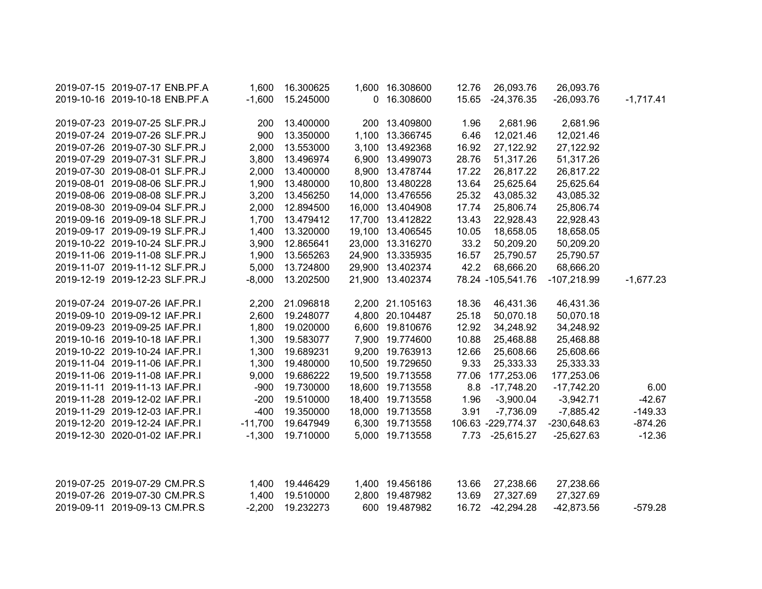| 2019-07-15 2019-07-17 ENB.PF.A | 1,600     | 16.300625 | 1,600 16.308600  | 12.76 | 26,093.76          | 26,093.76     |             |
|--------------------------------|-----------|-----------|------------------|-------|--------------------|---------------|-------------|
| 2019-10-16 2019-10-18 ENB.PF.A | $-1,600$  | 15.245000 | 0 16.308600      | 15.65 | $-24,376.35$       | $-26,093.76$  | $-1,717.41$ |
| 2019-07-23 2019-07-25 SLF.PR.J | 200       | 13.400000 | 200 13.409800    | 1.96  | 2,681.96           | 2,681.96      |             |
| 2019-07-24 2019-07-26 SLF.PR.J | 900       | 13.350000 | 1,100 13.366745  | 6.46  | 12,021.46          | 12,021.46     |             |
| 2019-07-26 2019-07-30 SLF.PR.J | 2,000     | 13.553000 | 3,100 13.492368  | 16.92 | 27,122.92          | 27,122.92     |             |
| 2019-07-29 2019-07-31 SLF.PR.J | 3,800     | 13.496974 | 6,900 13.499073  | 28.76 | 51,317.26          | 51,317.26     |             |
| 2019-07-30 2019-08-01 SLF.PR.J | 2,000     | 13.400000 | 8,900 13.478744  | 17.22 | 26,817.22          | 26,817.22     |             |
| 2019-08-01 2019-08-06 SLF.PR.J | 1,900     | 13.480000 | 10,800 13.480228 | 13.64 | 25,625.64          | 25,625.64     |             |
| 2019-08-06 2019-08-08 SLF.PR.J | 3,200     | 13.456250 | 14,000 13.476556 | 25.32 | 43,085.32          | 43,085.32     |             |
| 2019-08-30 2019-09-04 SLF.PR.J | 2,000     | 12.894500 | 16,000 13.404908 | 17.74 | 25,806.74          | 25,806.74     |             |
| 2019-09-16 2019-09-18 SLF.PR.J | 1,700     | 13.479412 | 17,700 13.412822 | 13.43 | 22,928.43          | 22,928.43     |             |
| 2019-09-17 2019-09-19 SLF.PR.J | 1,400     | 13.320000 | 19,100 13.406545 | 10.05 | 18,658.05          | 18,658.05     |             |
| 2019-10-22 2019-10-24 SLF.PR.J | 3,900     | 12.865641 | 23,000 13.316270 | 33.2  | 50,209.20          | 50,209.20     |             |
| 2019-11-06 2019-11-08 SLF.PR.J | 1,900     | 13.565263 | 24,900 13.335935 | 16.57 | 25,790.57          | 25,790.57     |             |
| 2019-11-07 2019-11-12 SLF.PR.J | 5,000     | 13.724800 | 29,900 13.402374 | 42.2  | 68,666.20          | 68,666.20     |             |
| 2019-12-19 2019-12-23 SLF.PR.J | $-8,000$  | 13.202500 | 21,900 13.402374 |       | 78.24 -105,541.76  | $-107,218.99$ | $-1,677.23$ |
| 2019-07-24 2019-07-26 IAF.PR.I | 2,200     | 21.096818 | 2,200 21.105163  | 18.36 | 46,431.36          | 46,431.36     |             |
| 2019-09-10 2019-09-12 IAF.PR.I | 2,600     | 19.248077 | 4,800 20.104487  | 25.18 | 50,070.18          | 50,070.18     |             |
| 2019-09-23 2019-09-25 IAF.PR.I | 1,800     | 19.020000 | 6,600 19.810676  | 12.92 | 34,248.92          | 34,248.92     |             |
| 2019-10-16 2019-10-18 IAF.PR.I | 1,300     | 19.583077 | 7,900 19.774600  | 10.88 | 25,468.88          | 25,468.88     |             |
| 2019-10-22 2019-10-24 IAF.PR.I | 1,300     | 19.689231 | 9,200 19.763913  | 12.66 | 25,608.66          | 25,608.66     |             |
| 2019-11-04 2019-11-06 IAF.PR.I | 1,300     | 19.480000 | 10,500 19.729650 | 9.33  | 25,333.33          | 25,333.33     |             |
| 2019-11-06 2019-11-08 IAF.PR.I | 9,000     | 19.686222 | 19,500 19.713558 | 77.06 | 177,253.06         | 177,253.06    |             |
| 2019-11-11 2019-11-13 IAF.PR.I | $-900$    | 19.730000 | 18,600 19.713558 |       | 8.8 - 17,748.20    | $-17,742.20$  | 6.00        |
| 2019-11-28 2019-12-02 IAF.PR.I | $-200$    | 19.510000 | 18,400 19.713558 | 1.96  | $-3,900.04$        | $-3,942.71$   | $-42.67$    |
| 2019-11-29 2019-12-03 IAF.PR.I | $-400$    | 19.350000 | 18,000 19.713558 | 3.91  | $-7,736.09$        | $-7,885.42$   | $-149.33$   |
| 2019-12-20 2019-12-24 IAF.PR.I | $-11,700$ | 19.647949 | 6,300 19.713558  |       | 106.63 -229,774.37 | $-230,648.63$ | $-874.26$   |
| 2019-12-30 2020-01-02 IAF.PR.I | $-1,300$  | 19.710000 | 5,000 19.713558  | 7.73  | $-25,615.27$       | $-25,627.63$  | $-12.36$    |
|                                |           |           |                  |       |                    |               |             |
| 2019-07-25 2019-07-29 CM.PR.S  | 1,400     | 19.446429 | 1,400 19.456186  | 13.66 | 27,238.66          | 27,238.66     |             |
| 2019-07-26 2019-07-30 CM.PR.S  | 1,400     | 19.510000 | 2,800 19.487982  | 13.69 | 27,327.69          | 27,327.69     |             |
| 2019-09-11 2019-09-13 CM.PR.S  | $-2,200$  | 19.232273 | 600 19.487982    | 16.72 | $-42,294.28$       | $-42,873.56$  | $-579.28$   |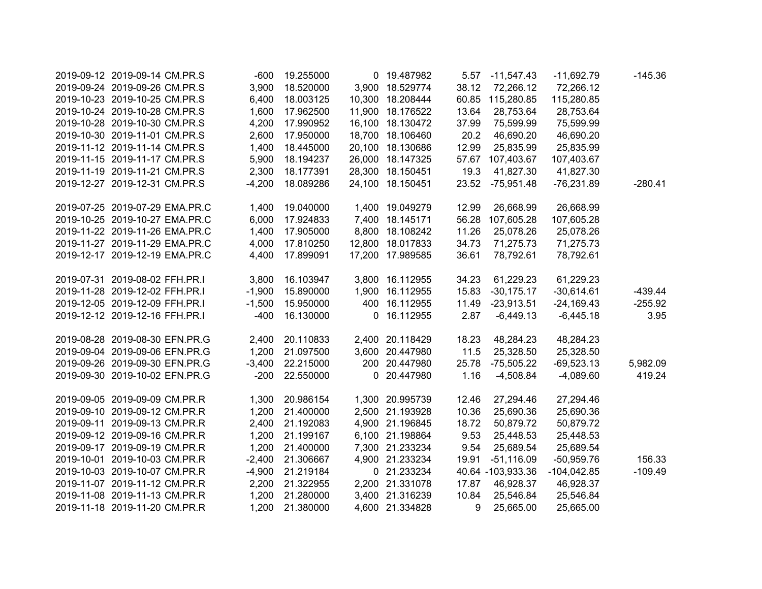| 2019-09-12 2019-09-14 CM.PR.S  | $-600$   | 19.255000 |             | 0 19.487982      | 5.57  | $-11,547.43$      | $-11,692.79$  | $-145.36$ |
|--------------------------------|----------|-----------|-------------|------------------|-------|-------------------|---------------|-----------|
| 2019-09-24 2019-09-26 CM.PR.S  | 3,900    | 18.520000 |             | 3,900 18.529774  | 38.12 | 72,266.12         | 72,266.12     |           |
| 2019-10-23 2019-10-25 CM.PR.S  | 6,400    | 18.003125 |             | 10,300 18.208444 | 60.85 | 115,280.85        | 115,280.85    |           |
| 2019-10-24 2019-10-28 CM.PR.S  | 1,600    | 17.962500 |             | 11,900 18.176522 | 13.64 | 28,753.64         | 28,753.64     |           |
| 2019-10-28 2019-10-30 CM.PR.S  | 4,200    | 17.990952 |             | 16,100 18.130472 | 37.99 | 75,599.99         | 75,599.99     |           |
| 2019-10-30 2019-11-01 CM.PR.S  | 2,600    | 17.950000 |             | 18,700 18.106460 | 20.2  | 46,690.20         | 46,690.20     |           |
| 2019-11-12 2019-11-14 CM.PR.S  | 1,400    | 18.445000 |             | 20,100 18.130686 | 12.99 | 25,835.99         | 25,835.99     |           |
| 2019-11-15 2019-11-17 CM.PR.S  | 5,900    | 18.194237 |             | 26,000 18.147325 |       | 57.67 107,403.67  | 107,403.67    |           |
| 2019-11-19 2019-11-21 CM.PR.S  | 2,300    | 18.177391 |             | 28,300 18.150451 | 19.3  | 41,827.30         | 41,827.30     |           |
| 2019-12-27 2019-12-31 CM.PR.S  | $-4,200$ | 18.089286 |             | 24,100 18.150451 | 23.52 | $-75,951.48$      | $-76,231.89$  | $-280.41$ |
| 2019-07-25 2019-07-29 EMA.PR.C | 1,400    | 19.040000 |             | 1,400 19.049279  | 12.99 | 26,668.99         | 26,668.99     |           |
| 2019-10-25 2019-10-27 EMA.PR.C | 6,000    | 17.924833 |             | 7,400 18.145171  | 56.28 | 107,605.28        | 107,605.28    |           |
| 2019-11-22 2019-11-26 EMA.PR.C | 1,400    | 17.905000 |             | 8,800 18.108242  | 11.26 | 25,078.26         | 25,078.26     |           |
| 2019-11-27 2019-11-29 EMA.PR.C | 4,000    | 17.810250 |             | 12,800 18.017833 | 34.73 | 71,275.73         | 71,275.73     |           |
| 2019-12-17 2019-12-19 EMA.PR.C | 4,400    | 17.899091 |             | 17,200 17.989585 | 36.61 | 78,792.61         | 78,792.61     |           |
| 2019-07-31 2019-08-02 FFH.PR.I | 3,800    | 16.103947 |             | 3,800 16.112955  | 34.23 | 61,229.23         | 61,229.23     |           |
| 2019-11-28 2019-12-02 FFH.PR.I | $-1,900$ | 15.890000 |             | 1,900 16.112955  | 15.83 | $-30,175.17$      | $-30,614.61$  | $-439.44$ |
| 2019-12-05 2019-12-09 FFH.PR.I | $-1,500$ | 15.950000 |             | 400 16.112955    | 11.49 | $-23,913.51$      | $-24,169.43$  | $-255.92$ |
| 2019-12-12 2019-12-16 FFH.PR.I | $-400$   | 16.130000 | $\mathbf 0$ | 16.112955        | 2.87  | $-6,449.13$       | $-6,445.18$   | 3.95      |
| 2019-08-28 2019-08-30 EFN.PR.G | 2,400    | 20.110833 |             | 2,400 20.118429  | 18.23 | 48,284.23         | 48,284.23     |           |
| 2019-09-04 2019-09-06 EFN.PR.G | 1,200    | 21.097500 |             | 3,600 20.447980  | 11.5  | 25,328.50         | 25,328.50     |           |
| 2019-09-26 2019-09-30 EFN.PR.G | $-3,400$ | 22.215000 |             | 200 20.447980    | 25.78 | $-75,505.22$      | $-69,523.13$  | 5,982.09  |
| 2019-09-30 2019-10-02 EFN.PR.G | $-200$   | 22.550000 |             | 0 20.447980      | 1.16  | $-4,508.84$       | $-4,089.60$   | 419.24    |
| 2019-09-05 2019-09-09 CM.PR.R  | 1,300    | 20.986154 |             | 1,300 20.995739  | 12.46 | 27,294.46         | 27,294.46     |           |
| 2019-09-10 2019-09-12 CM.PR.R  | 1,200    | 21.400000 |             | 2,500 21.193928  | 10.36 | 25,690.36         | 25,690.36     |           |
| 2019-09-11 2019-09-13 CM.PR.R  | 2,400    | 21.192083 |             | 4,900 21.196845  | 18.72 | 50,879.72         | 50,879.72     |           |
| 2019-09-12 2019-09-16 CM.PR.R  | 1,200    | 21.199167 |             | 6,100 21.198864  | 9.53  | 25,448.53         | 25,448.53     |           |
| 2019-09-17 2019-09-19 CM.PR.R  | 1,200    | 21.400000 |             | 7,300 21.233234  | 9.54  | 25,689.54         | 25,689.54     |           |
| 2019-10-01 2019-10-03 CM.PR.R  | $-2,400$ | 21.306667 |             | 4,900 21.233234  | 19.91 | $-51,116.09$      | $-50,959.76$  | 156.33    |
| 2019-10-03 2019-10-07 CM.PR.R  | $-4,900$ | 21.219184 |             | 0 21.233234      |       | 40.64 -103,933.36 | $-104,042.85$ | $-109.49$ |
| 2019-11-07 2019-11-12 CM.PR.R  | 2,200    | 21.322955 |             | 2,200 21.331078  | 17.87 | 46,928.37         | 46,928.37     |           |
| 2019-11-08 2019-11-13 CM.PR.R  | 1,200    | 21.280000 |             | 3,400 21.316239  | 10.84 | 25,546.84         | 25,546.84     |           |
| 2019-11-18 2019-11-20 CM.PR.R  | 1,200    | 21.380000 |             | 4,600 21.334828  | 9     | 25,665.00         | 25,665.00     |           |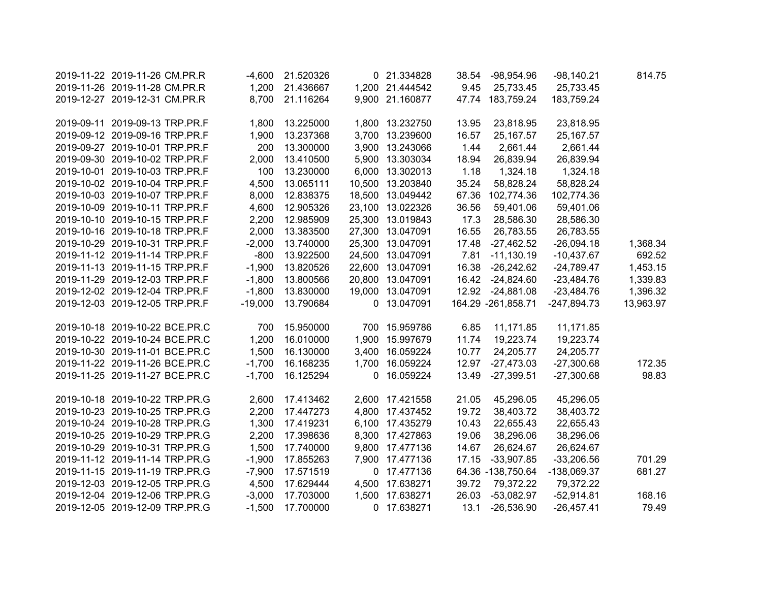| 2019-11-22 2019-11-26 CM.PR.R  | $-4,600$  | 21.520326 | 0 21.334828      |       | 38.54 -98,954.96   | $-98,140.21$  | 814.75    |
|--------------------------------|-----------|-----------|------------------|-------|--------------------|---------------|-----------|
| 2019-11-26 2019-11-28 CM.PR.R  | 1,200     | 21.436667 | 1,200 21.444542  | 9.45  | 25,733.45          | 25,733.45     |           |
| 2019-12-27 2019-12-31 CM.PR.R  | 8,700     | 21.116264 | 9,900 21.160877  |       | 47.74 183,759.24   | 183,759.24    |           |
|                                |           |           |                  |       |                    |               |           |
| 2019-09-11 2019-09-13 TRP.PR.F | 1,800     | 13.225000 | 1,800 13.232750  | 13.95 | 23,818.95          | 23,818.95     |           |
| 2019-09-12 2019-09-16 TRP.PR.F | 1,900     | 13.237368 | 3,700 13.239600  | 16.57 | 25, 167.57         | 25,167.57     |           |
| 2019-09-27 2019-10-01 TRP.PR.F | 200       | 13.300000 | 3,900 13.243066  | 1.44  | 2,661.44           | 2,661.44      |           |
| 2019-09-30 2019-10-02 TRP.PR.F | 2,000     | 13.410500 | 5,900 13.303034  | 18.94 | 26,839.94          | 26,839.94     |           |
| 2019-10-01 2019-10-03 TRP.PR.F | 100       | 13.230000 | 6,000 13.302013  | 1.18  | 1,324.18           | 1,324.18      |           |
| 2019-10-02 2019-10-04 TRP.PR.F | 4,500     | 13.065111 | 10,500 13.203840 | 35.24 | 58,828.24          | 58,828.24     |           |
| 2019-10-03 2019-10-07 TRP.PR.F | 8,000     | 12.838375 | 18,500 13.049442 | 67.36 | 102,774.36         | 102,774.36    |           |
| 2019-10-09 2019-10-11 TRP.PR.F | 4,600     | 12.905326 | 23,100 13.022326 | 36.56 | 59,401.06          | 59,401.06     |           |
| 2019-10-10 2019-10-15 TRP.PR.F | 2,200     | 12.985909 | 25,300 13.019843 | 17.3  | 28,586.30          | 28,586.30     |           |
| 2019-10-16 2019-10-18 TRP.PR.F | 2,000     | 13.383500 | 27,300 13.047091 | 16.55 | 26,783.55          | 26,783.55     |           |
| 2019-10-29 2019-10-31 TRP.PR.F | $-2,000$  | 13.740000 | 25,300 13.047091 | 17.48 | $-27,462.52$       | $-26,094.18$  | 1,368.34  |
| 2019-11-12 2019-11-14 TRP.PR.F | $-800$    | 13.922500 | 24,500 13.047091 | 7.81  | $-11,130.19$       | $-10,437.67$  | 692.52    |
| 2019-11-13 2019-11-15 TRP.PR.F | $-1,900$  | 13.820526 | 22,600 13.047091 | 16.38 | $-26,242.62$       | $-24,789.47$  | 1,453.15  |
| 2019-11-29 2019-12-03 TRP.PR.F | $-1,800$  | 13.800566 | 20,800 13.047091 | 16.42 | $-24,824.60$       | $-23,484.76$  | 1,339.83  |
| 2019-12-02 2019-12-04 TRP.PR.F | $-1,800$  | 13.830000 | 19,000 13.047091 | 12.92 | $-24,881.08$       | $-23,484.76$  | 1,396.32  |
| 2019-12-03 2019-12-05 TRP.PR.F | $-19,000$ | 13.790684 | 0 13.047091      |       | 164.29 -261,858.71 | $-247,894.73$ | 13,963.97 |
| 2019-10-18 2019-10-22 BCE.PR.C | 700       | 15.950000 | 700 15.959786    | 6.85  | 11,171.85          | 11,171.85     |           |
| 2019-10-22 2019-10-24 BCE.PR.C | 1,200     | 16.010000 | 1,900 15.997679  | 11.74 | 19,223.74          |               |           |
| 2019-10-30 2019-11-01 BCE.PR.C |           | 16.130000 | 3,400 16.059224  |       | 24,205.77          | 19,223.74     |           |
|                                | 1,500     |           |                  | 10.77 |                    | 24,205.77     |           |
| 2019-11-22 2019-11-26 BCE.PR.C | $-1,700$  | 16.168235 | 1,700 16.059224  | 12.97 | $-27,473.03$       | $-27,300.68$  | 172.35    |
| 2019-11-25 2019-11-27 BCE.PR.C | $-1,700$  | 16.125294 | 0 16.059224      | 13.49 | $-27,399.51$       | $-27,300.68$  | 98.83     |
| 2019-10-18 2019-10-22 TRP.PR.G | 2,600     | 17.413462 | 2,600 17.421558  | 21.05 | 45,296.05          | 45,296.05     |           |
| 2019-10-23 2019-10-25 TRP.PR.G | 2,200     | 17.447273 | 4,800 17.437452  | 19.72 | 38,403.72          | 38,403.72     |           |
| 2019-10-24 2019-10-28 TRP.PR.G | 1,300     | 17.419231 | 6,100 17.435279  | 10.43 | 22,655.43          | 22,655.43     |           |
| 2019-10-25 2019-10-29 TRP.PR.G | 2,200     | 17.398636 | 8,300 17.427863  | 19.06 | 38,296.06          | 38,296.06     |           |
| 2019-10-29 2019-10-31 TRP.PR.G | 1,500     | 17.740000 | 9,800 17.477136  | 14.67 | 26,624.67          | 26,624.67     |           |
| 2019-11-12 2019-11-14 TRP.PR.G | $-1,900$  | 17.855263 | 7,900 17.477136  | 17.15 | $-33,907.85$       | $-33,206.56$  | 701.29    |
| 2019-11-15 2019-11-19 TRP.PR.G | $-7,900$  | 17.571519 | 0 17.477136      |       | 64.36 -138,750.64  | $-138,069.37$ | 681.27    |
| 2019-12-03 2019-12-05 TRP.PR.G | 4,500     | 17.629444 | 4,500 17.638271  | 39.72 | 79,372.22          | 79,372.22     |           |
| 2019-12-04 2019-12-06 TRP.PR.G | $-3,000$  | 17.703000 | 1,500 17.638271  | 26.03 | $-53,082.97$       | $-52,914.81$  | 168.16    |
| 2019-12-05 2019-12-09 TRP.PR.G | $-1,500$  | 17.700000 | 0 17.638271      | 13.1  | -26,536.90         | $-26,457.41$  | 79.49     |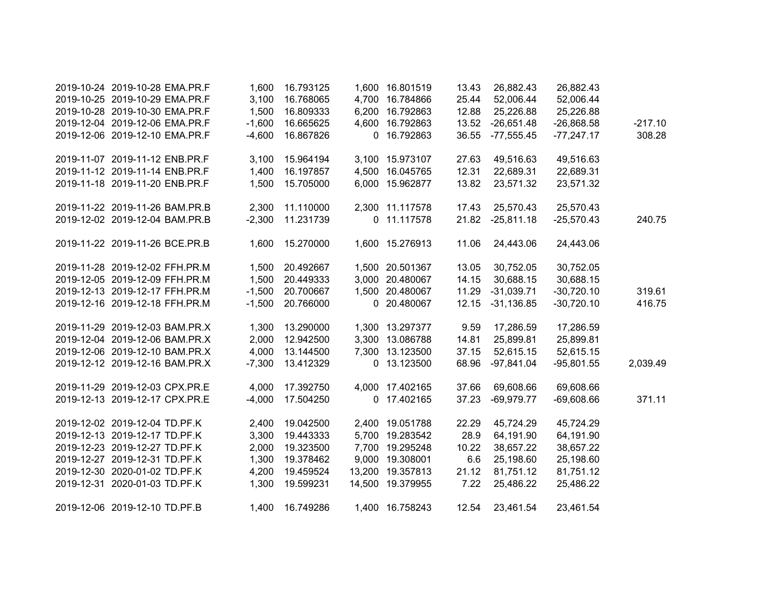| 2019-10-24 2019-10-28 EMA.PR.F | 1,600    | 16.793125 | 1,600 16.801519  | 13.43 | 26,882.43    | 26,882.43    |           |
|--------------------------------|----------|-----------|------------------|-------|--------------|--------------|-----------|
| 2019-10-25 2019-10-29 EMA.PR.F | 3,100    | 16.768065 | 4,700 16.784866  | 25.44 | 52,006.44    | 52,006.44    |           |
| 2019-10-28 2019-10-30 EMA.PR.F | 1,500    | 16.809333 | 6,200 16.792863  | 12.88 | 25,226.88    | 25,226.88    |           |
| 2019-12-04 2019-12-06 EMA.PR.F | $-1,600$ | 16.665625 | 4,600 16.792863  | 13.52 | $-26,651.48$ | $-26,868.58$ | $-217.10$ |
| 2019-12-06 2019-12-10 EMA.PR.F | $-4,600$ | 16.867826 | 0 16.792863      | 36.55 | $-77,555.45$ | $-77,247.17$ | 308.28    |
|                                |          |           |                  |       |              |              |           |
| 2019-11-07 2019-11-12 ENB.PR.F | 3,100    | 15.964194 | 3,100 15.973107  | 27.63 | 49,516.63    | 49,516.63    |           |
| 2019-11-12 2019-11-14 ENB.PR.F | 1,400    | 16.197857 | 4,500 16.045765  | 12.31 | 22,689.31    | 22,689.31    |           |
| 2019-11-18 2019-11-20 ENB.PR.F | 1,500    | 15.705000 | 6,000 15.962877  | 13.82 | 23,571.32    | 23,571.32    |           |
|                                |          |           |                  |       |              |              |           |
| 2019-11-22 2019-11-26 BAM.PR.B | 2,300    | 11.110000 | 2,300 11.117578  | 17.43 | 25,570.43    | 25,570.43    |           |
| 2019-12-02 2019-12-04 BAM.PR.B | $-2,300$ | 11.231739 | 0 11.117578      | 21.82 | $-25,811.18$ | $-25,570.43$ | 240.75    |
|                                |          |           |                  |       |              |              |           |
| 2019-11-22 2019-11-26 BCE.PR.B | 1,600    | 15.270000 | 1,600 15.276913  | 11.06 | 24,443.06    | 24,443.06    |           |
|                                |          |           |                  |       |              |              |           |
| 2019-11-28 2019-12-02 FFH.PR.M | 1,500    | 20.492667 | 1,500 20.501367  | 13.05 | 30,752.05    | 30,752.05    |           |
| 2019-12-05 2019-12-09 FFH.PR.M | 1,500    | 20.449333 | 3,000 20.480067  | 14.15 | 30,688.15    | 30,688.15    |           |
| 2019-12-13 2019-12-17 FFH.PR.M | $-1,500$ | 20.700667 | 1,500 20.480067  | 11.29 | $-31,039.71$ | $-30,720.10$ | 319.61    |
| 2019-12-16 2019-12-18 FFH.PR.M | $-1,500$ | 20.766000 | 0 20.480067      | 12.15 | $-31,136.85$ | $-30,720.10$ | 416.75    |
|                                |          |           |                  |       |              |              |           |
| 2019-11-29 2019-12-03 BAM.PR.X | 1,300    | 13.290000 | 1,300 13.297377  | 9.59  | 17,286.59    | 17,286.59    |           |
| 2019-12-04 2019-12-06 BAM.PR.X | 2,000    | 12.942500 | 3,300 13.086788  | 14.81 | 25,899.81    | 25,899.81    |           |
| 2019-12-06 2019-12-10 BAM.PR.X | 4,000    | 13.144500 | 7,300 13.123500  | 37.15 | 52,615.15    | 52,615.15    |           |
| 2019-12-12 2019-12-16 BAM.PR.X | $-7,300$ | 13.412329 | 0 13.123500      | 68.96 | $-97,841.04$ | $-95,801.55$ | 2,039.49  |
|                                |          |           |                  |       |              |              |           |
| 2019-11-29 2019-12-03 CPX.PR.E | 4,000    | 17.392750 | 4,000 17.402165  | 37.66 | 69,608.66    | 69,608.66    |           |
| 2019-12-13 2019-12-17 CPX.PR.E | $-4,000$ | 17.504250 | 0 17.402165      | 37.23 | $-69,979.77$ | $-69,608.66$ | 371.11    |
|                                |          |           |                  |       |              |              |           |
| 2019-12-02 2019-12-04 TD.PF.K  | 2,400    | 19.042500 | 2,400 19.051788  | 22.29 | 45,724.29    | 45,724.29    |           |
| 2019-12-13 2019-12-17 TD.PF.K  | 3,300    | 19.443333 | 5,700 19.283542  | 28.9  | 64,191.90    | 64,191.90    |           |
| 2019-12-23 2019-12-27 TD.PF.K  | 2,000    | 19.323500 | 7,700 19.295248  | 10.22 | 38,657.22    | 38,657.22    |           |
| 2019-12-27 2019-12-31 TD.PF.K  | 1,300    | 19.378462 | 9,000 19.308001  | 6.6   | 25,198.60    | 25,198.60    |           |
| 2019-12-30 2020-01-02 TD.PF.K  | 4,200    | 19.459524 | 13,200 19.357813 | 21.12 | 81,751.12    | 81,751.12    |           |
| 2019-12-31 2020-01-03 TD.PF.K  | 1,300    | 19.599231 | 14,500 19.379955 | 7.22  | 25,486.22    | 25,486.22    |           |
|                                |          |           |                  |       |              |              |           |
| 2019-12-06 2019-12-10 TD.PF.B  | 1,400    | 16.749286 | 1,400 16.758243  | 12.54 | 23,461.54    | 23,461.54    |           |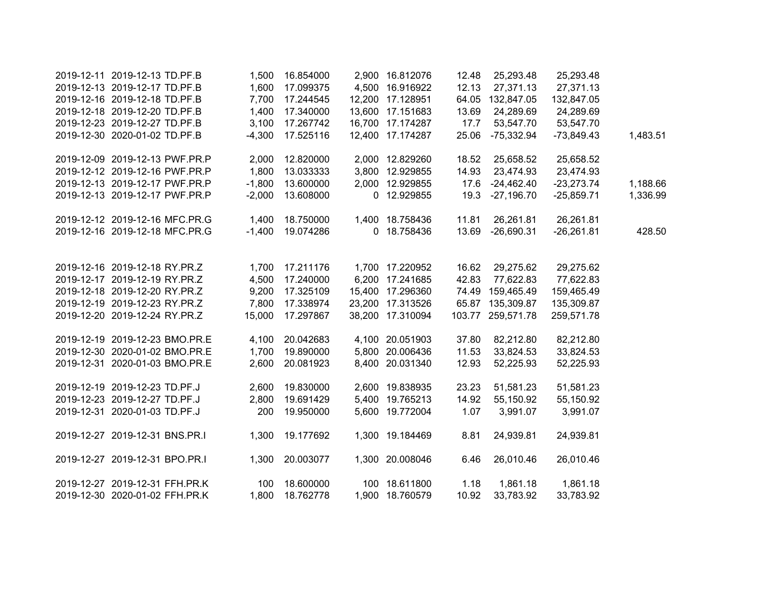| 2019-12-11 2019-12-13 TD.PF.B  | 1,500    | 16.854000 | 2,900 16.812076  | 12.48 | 25,293.48         | 25,293.48    |          |
|--------------------------------|----------|-----------|------------------|-------|-------------------|--------------|----------|
| 2019-12-13 2019-12-17 TD.PF.B  | 1,600    | 17.099375 | 4,500 16.916922  | 12.13 | 27,371.13         | 27,371.13    |          |
| 2019-12-16 2019-12-18 TD.PF.B  | 7,700    | 17.244545 | 12,200 17.128951 |       | 64.05 132,847.05  | 132,847.05   |          |
| 2019-12-18 2019-12-20 TD.PF.B  | 1,400    | 17.340000 | 13,600 17.151683 | 13.69 | 24,289.69         | 24,289.69    |          |
| 2019-12-23 2019-12-27 TD.PF.B  | 3,100    | 17.267742 | 16,700 17.174287 | 17.7  | 53,547.70         | 53,547.70    |          |
| 2019-12-30 2020-01-02 TD.PF.B  | $-4,300$ | 17.525116 | 12,400 17.174287 | 25.06 | -75,332.94        | $-73,849.43$ | 1,483.51 |
| 2019-12-09 2019-12-13 PWF.PR.P | 2,000    | 12.820000 | 2,000 12.829260  | 18.52 | 25,658.52         | 25,658.52    |          |
| 2019-12-12 2019-12-16 PWF.PR.P | 1,800    | 13.033333 | 3,800 12.929855  | 14.93 | 23,474.93         | 23,474.93    |          |
| 2019-12-13 2019-12-17 PWF.PR.P | $-1,800$ | 13.600000 | 2,000 12.929855  | 17.6  | $-24,462.40$      | $-23,273.74$ | 1,188.66 |
| 2019-12-13 2019-12-17 PWF.PR.P | $-2,000$ | 13.608000 | 0 12.929855      | 19.3  | $-27,196.70$      | $-25,859.71$ | 1,336.99 |
| 2019-12-12 2019-12-16 MFC.PR.G | 1,400    | 18.750000 | 1,400 18.758436  | 11.81 | 26,261.81         | 26,261.81    |          |
| 2019-12-16 2019-12-18 MFC.PR.G | $-1,400$ | 19.074286 | 0 18.758436      | 13.69 | $-26,690.31$      | $-26,261.81$ | 428.50   |
| 2019-12-16 2019-12-18 RY.PR.Z  | 1,700    | 17.211176 | 1,700 17.220952  | 16.62 | 29,275.62         | 29,275.62    |          |
| 2019-12-17 2019-12-19 RY.PR.Z  | 4,500    | 17.240000 | 6,200 17.241685  | 42.83 | 77,622.83         | 77,622.83    |          |
| 2019-12-18 2019-12-20 RY.PR.Z  | 9,200    | 17.325109 | 15,400 17.296360 |       | 74.49 159,465.49  | 159,465.49   |          |
| 2019-12-19 2019-12-23 RY.PR.Z  | 7,800    | 17.338974 | 23,200 17.313526 |       | 65.87 135,309.87  | 135,309.87   |          |
| 2019-12-20 2019-12-24 RY.PR.Z  | 15,000   | 17.297867 | 38,200 17.310094 |       | 103.77 259,571.78 | 259,571.78   |          |
| 2019-12-19 2019-12-23 BMO.PR.E | 4,100    | 20.042683 | 4,100 20.051903  | 37.80 | 82,212.80         | 82,212.80    |          |
| 2019-12-30 2020-01-02 BMO.PR.E | 1,700    | 19.890000 | 5,800 20.006436  | 11.53 | 33,824.53         | 33,824.53    |          |
| 2019-12-31 2020-01-03 BMO.PR.E | 2,600    | 20.081923 | 8,400 20.031340  | 12.93 | 52,225.93         | 52,225.93    |          |
| 2019-12-19 2019-12-23 TD.PF.J  | 2,600    | 19.830000 | 2,600 19.838935  | 23.23 | 51,581.23         | 51,581.23    |          |
| 2019-12-23 2019-12-27 TD.PF.J  | 2,800    | 19.691429 | 5,400 19.765213  | 14.92 | 55,150.92         | 55,150.92    |          |
| 2019-12-31 2020-01-03 TD.PF.J  | 200      | 19.950000 | 5,600 19.772004  | 1.07  | 3,991.07          | 3,991.07     |          |
| 2019-12-27 2019-12-31 BNS.PR.I | 1,300    | 19.177692 | 1,300 19.184469  | 8.81  | 24,939.81         | 24,939.81    |          |
| 2019-12-27 2019-12-31 BPO.PR.I | 1,300    | 20.003077 | 1,300 20.008046  | 6.46  | 26,010.46         | 26,010.46    |          |
| 2019-12-27 2019-12-31 FFH.PR.K | 100      | 18.600000 | 100 18.611800    | 1.18  | 1,861.18          | 1,861.18     |          |
| 2019-12-30 2020-01-02 FFH.PR.K | 1,800    | 18.762778 | 1,900 18.760579  | 10.92 | 33,783.92         | 33,783.92    |          |